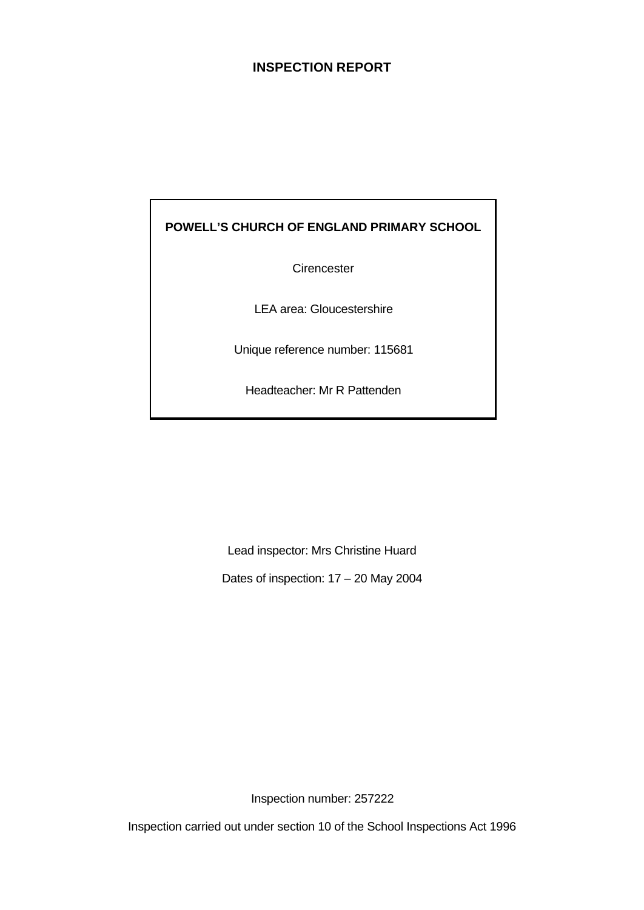# **INSPECTION REPORT**

# **POWELL'S CHURCH OF ENGLAND PRIMARY SCHOOL**

**Cirencester** 

LEA area: Gloucestershire

Unique reference number: 115681

Headteacher: Mr R Pattenden

Lead inspector: Mrs Christine Huard

Dates of inspection: 17 – 20 May 2004

Inspection number: 257222

Inspection carried out under section 10 of the School Inspections Act 1996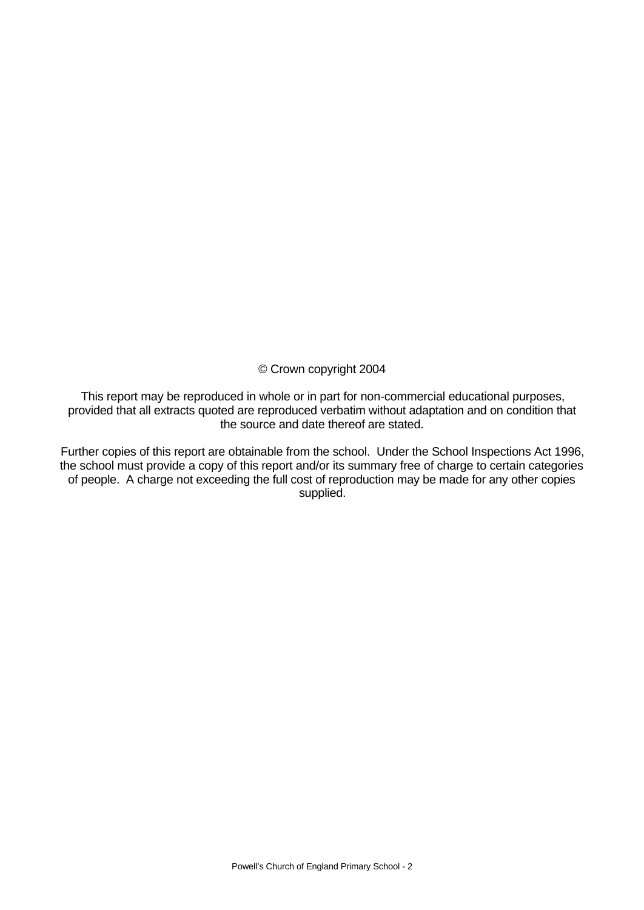© Crown copyright 2004

This report may be reproduced in whole or in part for non-commercial educational purposes, provided that all extracts quoted are reproduced verbatim without adaptation and on condition that the source and date thereof are stated.

Further copies of this report are obtainable from the school. Under the School Inspections Act 1996, the school must provide a copy of this report and/or its summary free of charge to certain categories of people. A charge not exceeding the full cost of reproduction may be made for any other copies supplied.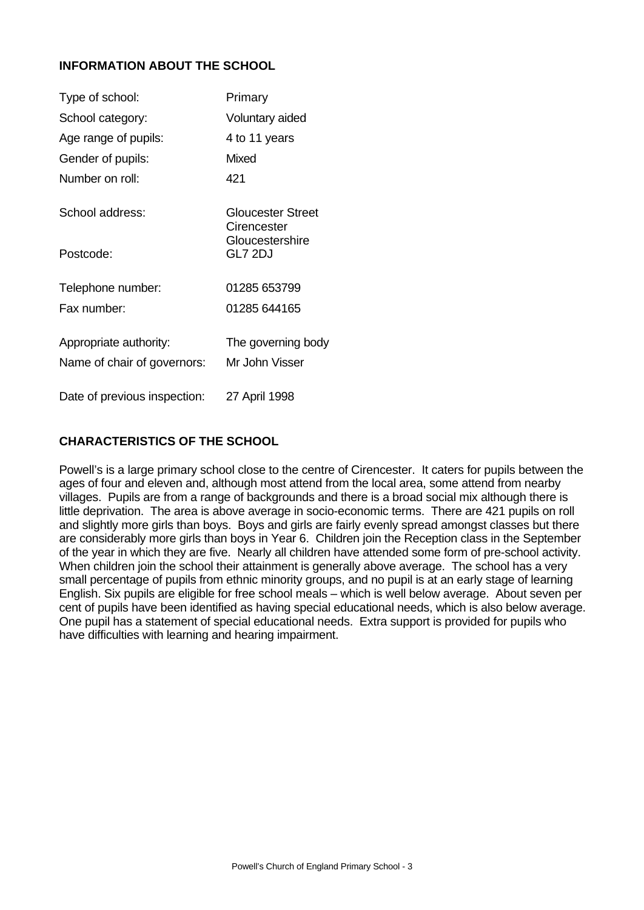# **INFORMATION ABOUT THE SCHOOL**

| Type of school:              | Primary                          |
|------------------------------|----------------------------------|
| School category:             | Voluntary aided                  |
| Age range of pupils:         | 4 to 11 years                    |
| Gender of pupils:            | Mixed                            |
| Number on roll:              | 421                              |
| School address:              | Gloucester Street<br>Cirencester |
| Postcode:                    | Gloucestershire<br>GL7 2DJ       |
| Telephone number:            | 01285 653799                     |
| Fax number:                  | 01285 644165                     |
| Appropriate authority:       | The governing body               |
| Name of chair of governors:  | Mr John Visser                   |
| Date of previous inspection: | 27 April 1998                    |

# **CHARACTERISTICS OF THE SCHOOL**

Powell's is a large primary school close to the centre of Cirencester. It caters for pupils between the ages of four and eleven and, although most attend from the local area, some attend from nearby villages. Pupils are from a range of backgrounds and there is a broad social mix although there is little deprivation. The area is above average in socio-economic terms. There are 421 pupils on roll and slightly more girls than boys. Boys and girls are fairly evenly spread amongst classes but there are considerably more girls than boys in Year 6. Children join the Reception class in the September of the year in which they are five. Nearly all children have attended some form of pre-school activity. When children join the school their attainment is generally above average. The school has a very small percentage of pupils from ethnic minority groups, and no pupil is at an early stage of learning English. Six pupils are eligible for free school meals – which is well below average. About seven per cent of pupils have been identified as having special educational needs, which is also below average. One pupil has a statement of special educational needs. Extra support is provided for pupils who have difficulties with learning and hearing impairment.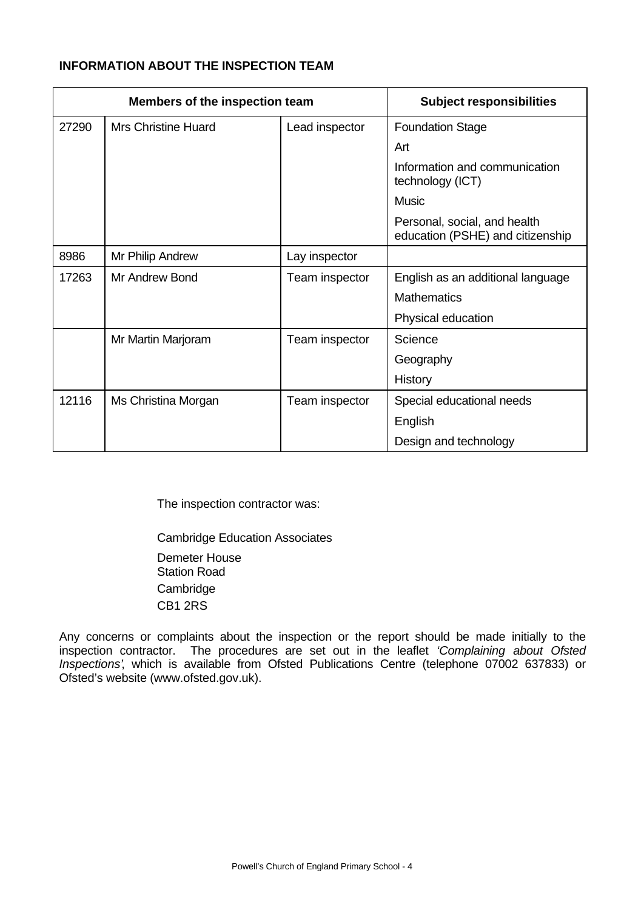# **INFORMATION ABOUT THE INSPECTION TEAM**

| Members of the inspection team |                            |                | <b>Subject responsibilities</b>                                  |
|--------------------------------|----------------------------|----------------|------------------------------------------------------------------|
| 27290                          | <b>Mrs Christine Huard</b> | Lead inspector | <b>Foundation Stage</b>                                          |
|                                |                            |                | Art                                                              |
|                                |                            |                | Information and communication<br>technology (ICT)                |
|                                |                            |                | <b>Music</b>                                                     |
|                                |                            |                | Personal, social, and health<br>education (PSHE) and citizenship |
| 8986                           | Mr Philip Andrew           | Lay inspector  |                                                                  |
| 17263                          | Mr Andrew Bond             | Team inspector | English as an additional language                                |
|                                |                            |                | <b>Mathematics</b>                                               |
|                                |                            |                | Physical education                                               |
|                                | Mr Martin Marjoram         | Team inspector | Science                                                          |
|                                |                            |                | Geography                                                        |
|                                |                            |                | History                                                          |
| 12116                          | Ms Christina Morgan        | Team inspector | Special educational needs                                        |
|                                |                            |                | English                                                          |
|                                |                            |                | Design and technology                                            |

The inspection contractor was:

Cambridge Education Associates

Demeter House Station Road Cambridge CB1 2RS

Any concerns or complaints about the inspection or the report should be made initially to the inspection contractor. The procedures are set out in the leaflet *'Complaining about Ofsted Inspections'*, which is available from Ofsted Publications Centre (telephone 07002 637833) or Ofsted's website (www.ofsted.gov.uk).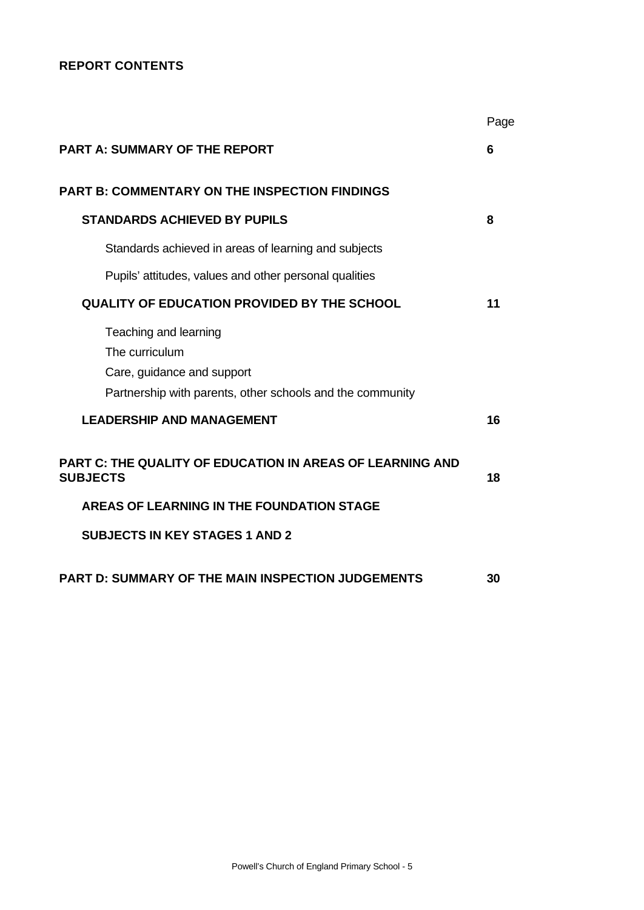# **REPORT CONTENTS**

|                                                                                                                                    | Page |
|------------------------------------------------------------------------------------------------------------------------------------|------|
| <b>PART A: SUMMARY OF THE REPORT</b>                                                                                               | 6    |
| <b>PART B: COMMENTARY ON THE INSPECTION FINDINGS</b>                                                                               |      |
| <b>STANDARDS ACHIEVED BY PUPILS</b>                                                                                                | 8    |
| Standards achieved in areas of learning and subjects                                                                               |      |
| Pupils' attitudes, values and other personal qualities                                                                             |      |
| <b>QUALITY OF EDUCATION PROVIDED BY THE SCHOOL</b>                                                                                 | 11   |
| Teaching and learning<br>The curriculum<br>Care, guidance and support<br>Partnership with parents, other schools and the community |      |
| <b>LEADERSHIP AND MANAGEMENT</b>                                                                                                   | 16   |
| <b>PART C: THE QUALITY OF EDUCATION IN AREAS OF LEARNING AND</b><br><b>SUBJECTS</b>                                                | 18   |
| AREAS OF LEARNING IN THE FOUNDATION STAGE                                                                                          |      |
| <b>SUBJECTS IN KEY STAGES 1 AND 2</b>                                                                                              |      |
| <b>PART D: SUMMARY OF THE MAIN INSPECTION JUDGEMENTS</b>                                                                           | 30   |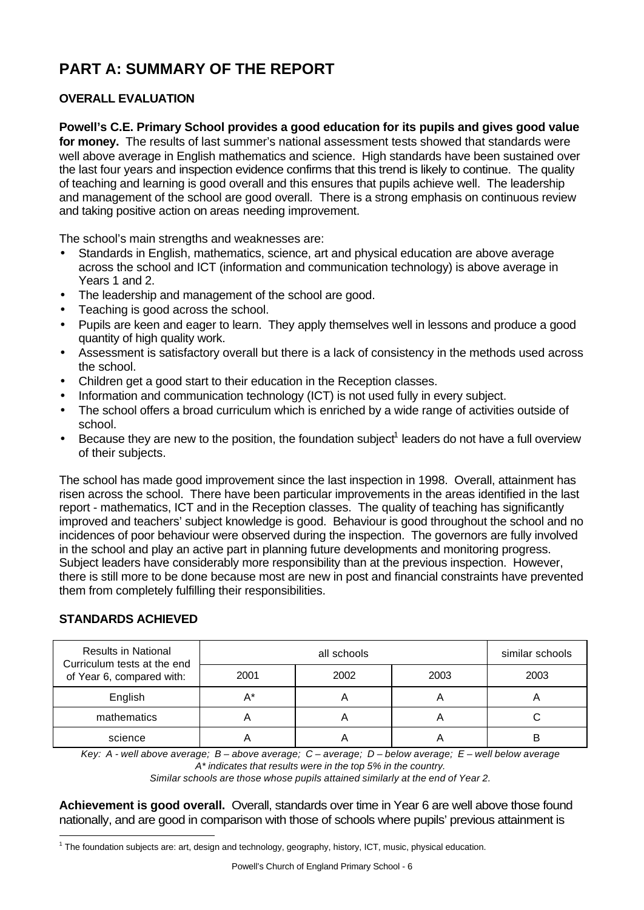# **PART A: SUMMARY OF THE REPORT**

# **OVERALL EVALUATION**

# **Powell's C.E. Primary School provides a good education for its pupils and gives good value**

**for money.** The results of last summer's national assessment tests showed that standards were well above average in English mathematics and science. High standards have been sustained over the last four years and inspection evidence confirms that this trend is likely to continue. The quality of teaching and learning is good overall and this ensures that pupils achieve well. The leadership and management of the school are good overall. There is a strong emphasis on continuous review and taking positive action on areas needing improvement.

The school's main strengths and weaknesses are:

- Standards in English, mathematics, science, art and physical education are above average across the school and ICT (information and communication technology) is above average in Years 1 and 2.
- The leadership and management of the school are good.
- Teaching is good across the school.
- Pupils are keen and eager to learn. They apply themselves well in lessons and produce a good quantity of high quality work.
- Assessment is satisfactory overall but there is a lack of consistency in the methods used across the school.
- Children get a good start to their education in the Reception classes.
- Information and communication technology (ICT) is not used fully in every subject.
- The school offers a broad curriculum which is enriched by a wide range of activities outside of school.
- $\bullet$  Because they are new to the position, the foundation subject<sup>1</sup> leaders do not have a full overview of their subjects.

The school has made good improvement since the last inspection in 1998. Overall, attainment has risen across the school. There have been particular improvements in the areas identified in the last report - mathematics, ICT and in the Reception classes. The quality of teaching has significantly improved and teachers' subject knowledge is good. Behaviour is good throughout the school and no incidences of poor behaviour were observed during the inspection. The governors are fully involved in the school and play an active part in planning future developments and monitoring progress. Subject leaders have considerably more responsibility than at the previous inspection. However, there is still more to be done because most are new in post and financial constraints have prevented them from completely fulfilling their responsibilities.

# **STANDARDS ACHIEVED**

l

| <b>Results in National</b><br>Curriculum tests at the end<br>of Year 6, compared with: |      | similar schools |      |      |
|----------------------------------------------------------------------------------------|------|-----------------|------|------|
|                                                                                        | 2001 | 2002            | 2003 | 2003 |
| English                                                                                | А*   |                 |      |      |
| mathematics                                                                            |      |                 |      |      |
| science                                                                                |      |                 |      | R    |

*Key: A - well above average; B – above average; C – average; D – below average; E – well below average A\* indicates that results were in the top 5% in the country.*

*Similar schools are those whose pupils attained similarly at the end of Year 2.*

**Achievement is good overall.** Overall, standards over time in Year 6 are well above those found nationally, and are good in comparison with those of schools where pupils' previous attainment is

<sup>1</sup> The foundation subjects are: art, design and technology, geography, history, ICT, music, physical education.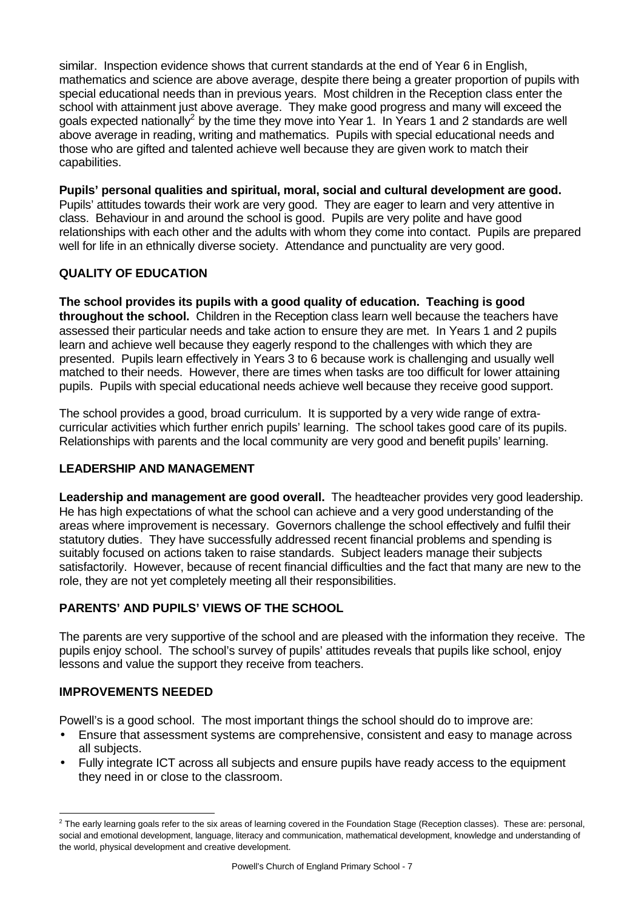similar. Inspection evidence shows that current standards at the end of Year 6 in English, mathematics and science are above average, despite there being a greater proportion of pupils with special educational needs than in previous years. Most children in the Reception class enter the school with attainment just above average. They make good progress and many will exceed the goals expected nationally<sup>2</sup> by the time they move into Year 1. In Years 1 and 2 standards are well above average in reading, writing and mathematics. Pupils with special educational needs and those who are gifted and talented achieve well because they are given work to match their capabilities.

**Pupils' personal qualities and spiritual, moral, social and cultural development are good.** Pupils' attitudes towards their work are very good. They are eager to learn and very attentive in class. Behaviour in and around the school is good. Pupils are very polite and have good relationships with each other and the adults with whom they come into contact. Pupils are prepared well for life in an ethnically diverse society. Attendance and punctuality are very good.

# **QUALITY OF EDUCATION**

**The school provides its pupils with a good quality of education. Teaching is good throughout the school.** Children in the Reception class learn well because the teachers have assessed their particular needs and take action to ensure they are met. In Years 1 and 2 pupils learn and achieve well because they eagerly respond to the challenges with which they are presented. Pupils learn effectively in Years 3 to 6 because work is challenging and usually well matched to their needs. However, there are times when tasks are too difficult for lower attaining pupils. Pupils with special educational needs achieve well because they receive good support.

The school provides a good, broad curriculum. It is supported by a very wide range of extracurricular activities which further enrich pupils' learning. The school takes good care of its pupils. Relationships with parents and the local community are very good and benefit pupils' learning.

# **LEADERSHIP AND MANAGEMENT**

**Leadership and management are good overall.** The headteacher provides very good leadership. He has high expectations of what the school can achieve and a very good understanding of the areas where improvement is necessary. Governors challenge the school effectively and fulfil their statutory duties. They have successfully addressed recent financial problems and spending is suitably focused on actions taken to raise standards. Subject leaders manage their subjects satisfactorily. However, because of recent financial difficulties and the fact that many are new to the role, they are not yet completely meeting all their responsibilities.

# **PARENTS' AND PUPILS' VIEWS OF THE SCHOOL**

The parents are very supportive of the school and are pleased with the information they receive. The pupils enjoy school. The school's survey of pupils' attitudes reveals that pupils like school, enjoy lessons and value the support they receive from teachers.

# **IMPROVEMENTS NEEDED**

l

Powell's is a good school. The most important things the school should do to improve are:

- Ensure that assessment systems are comprehensive, consistent and easy to manage across all subjects.
- Fully integrate ICT across all subjects and ensure pupils have ready access to the equipment they need in or close to the classroom.

 $^2$  The early learning goals refer to the six areas of learning covered in the Foundation Stage (Reception classes). These are: personal, social and emotional development, language, literacy and communication, mathematical development, knowledge and understanding of the world, physical development and creative development.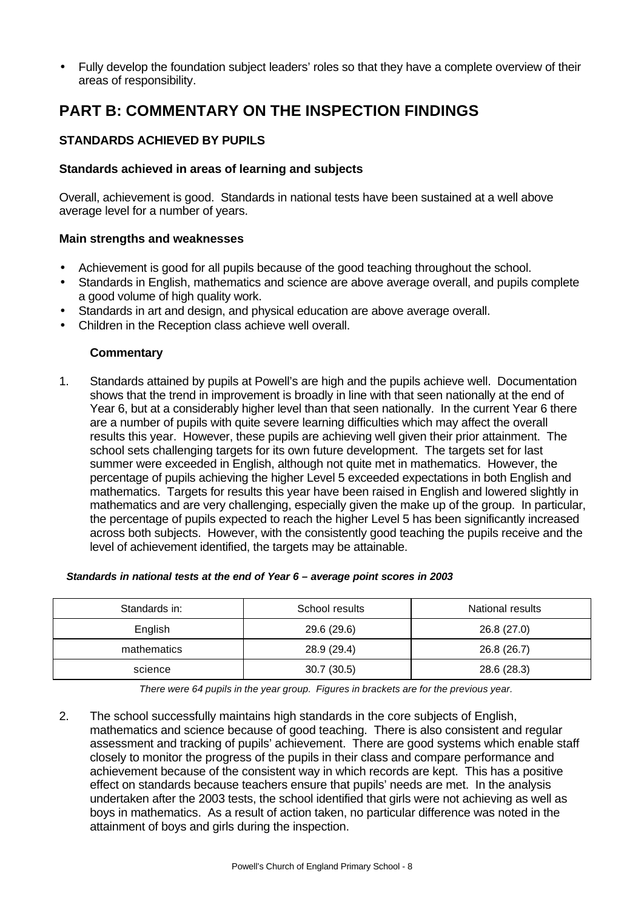• Fully develop the foundation subject leaders' roles so that they have a complete overview of their areas of responsibility.

# **PART B: COMMENTARY ON THE INSPECTION FINDINGS**

# **STANDARDS ACHIEVED BY PUPILS**

### **Standards achieved in areas of learning and subjects**

Overall, achievement is good. Standards in national tests have been sustained at a well above average level for a number of years.

#### **Main strengths and weaknesses**

- Achievement is good for all pupils because of the good teaching throughout the school.
- Standards in English, mathematics and science are above average overall, and pupils complete a good volume of high quality work.
- Standards in art and design, and physical education are above average overall.
- Children in the Reception class achieve well overall.

## **Commentary**

1. Standards attained by pupils at Powell's are high and the pupils achieve well. Documentation shows that the trend in improvement is broadly in line with that seen nationally at the end of Year 6, but at a considerably higher level than that seen nationally. In the current Year 6 there are a number of pupils with quite severe learning difficulties which may affect the overall results this year. However, these pupils are achieving well given their prior attainment. The school sets challenging targets for its own future development. The targets set for last summer were exceeded in English, although not quite met in mathematics. However, the percentage of pupils achieving the higher Level 5 exceeded expectations in both English and mathematics. Targets for results this year have been raised in English and lowered slightly in mathematics and are very challenging, especially given the make up of the group. In particular, the percentage of pupils expected to reach the higher Level 5 has been significantly increased across both subjects. However, with the consistently good teaching the pupils receive and the level of achievement identified, the targets may be attainable.

#### *Standards in national tests at the end of Year 6 – average point scores in 2003*

| Standards in: | School results | National results |
|---------------|----------------|------------------|
| English       | 29.6 (29.6)    | 26.8 (27.0)      |
| mathematics   | 28.9 (29.4)    | 26.8 (26.7)      |
| science       | 30.7(30.5)     | 28.6 (28.3)      |

*There were 64 pupils in the year group. Figures in brackets are for the previous year.*

2. The school successfully maintains high standards in the core subjects of English, mathematics and science because of good teaching. There is also consistent and regular assessment and tracking of pupils' achievement. There are good systems which enable staff closely to monitor the progress of the pupils in their class and compare performance and achievement because of the consistent way in which records are kept. This has a positive effect on standards because teachers ensure that pupils' needs are met. In the analysis undertaken after the 2003 tests, the school identified that girls were not achieving as well as boys in mathematics. As a result of action taken, no particular difference was noted in the attainment of boys and girls during the inspection.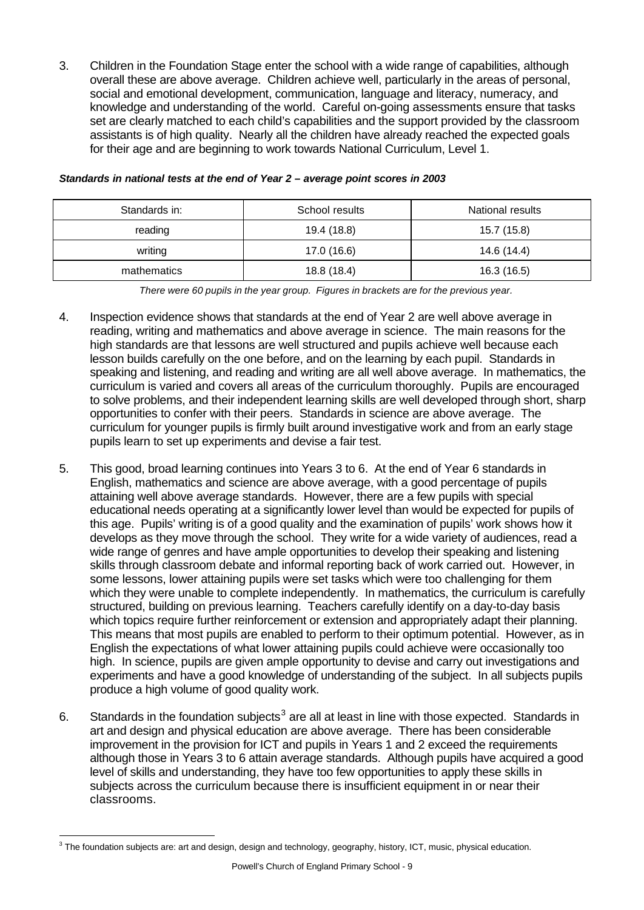3. Children in the Foundation Stage enter the school with a wide range of capabilities, although overall these are above average. Children achieve well, particularly in the areas of personal, social and emotional development, communication, language and literacy, numeracy, and knowledge and understanding of the world. Careful on-going assessments ensure that tasks set are clearly matched to each child's capabilities and the support provided by the classroom assistants is of high quality. Nearly all the children have already reached the expected goals for their age and are beginning to work towards National Curriculum, Level 1.

| Standards in: | School results | National results |  |  |
|---------------|----------------|------------------|--|--|
| reading       | 19.4 (18.8)    | 15.7 (15.8)      |  |  |
| writing       | 17.0 (16.6)    | 14.6 (14.4)      |  |  |
| mathematics   | 18.8 (18.4)    | 16.3 (16.5)      |  |  |

#### *Standards in national tests at the end of Year 2 – average point scores in 2003*

*There were 60 pupils in the year group. Figures in brackets are for the previous year.*

- 4. Inspection evidence shows that standards at the end of Year 2 are well above average in reading, writing and mathematics and above average in science. The main reasons for the high standards are that lessons are well structured and pupils achieve well because each lesson builds carefully on the one before, and on the learning by each pupil. Standards in speaking and listening, and reading and writing are all well above average. In mathematics, the curriculum is varied and covers all areas of the curriculum thoroughly. Pupils are encouraged to solve problems, and their independent learning skills are well developed through short, sharp opportunities to confer with their peers. Standards in science are above average. The curriculum for younger pupils is firmly built around investigative work and from an early stage pupils learn to set up experiments and devise a fair test.
- 5. This good, broad learning continues into Years 3 to 6. At the end of Year 6 standards in English, mathematics and science are above average, with a good percentage of pupils attaining well above average standards. However, there are a few pupils with special educational needs operating at a significantly lower level than would be expected for pupils of this age. Pupils' writing is of a good quality and the examination of pupils' work shows how it develops as they move through the school. They write for a wide variety of audiences, read a wide range of genres and have ample opportunities to develop their speaking and listening skills through classroom debate and informal reporting back of work carried out. However, in some lessons, lower attaining pupils were set tasks which were too challenging for them which they were unable to complete independently. In mathematics, the curriculum is carefully structured, building on previous learning. Teachers carefully identify on a day-to-day basis which topics require further reinforcement or extension and appropriately adapt their planning. This means that most pupils are enabled to perform to their optimum potential. However, as in English the expectations of what lower attaining pupils could achieve were occasionally too high. In science, pupils are given ample opportunity to devise and carry out investigations and experiments and have a good knowledge of understanding of the subject. In all subjects pupils produce a high volume of good quality work.
- 6. Standards in the foundation subjects<sup>3</sup> are all at least in line with those expected. Standards in art and design and physical education are above average. There has been considerable improvement in the provision for ICT and pupils in Years 1 and 2 exceed the requirements although those in Years 3 to 6 attain average standards. Although pupils have acquired a good level of skills and understanding, they have too few opportunities to apply these skills in subjects across the curriculum because there is insufficient equipment in or near their classrooms.

l

 $3$  The foundation subjects are: art and design, design and technology, geography, history, ICT, music, physical education.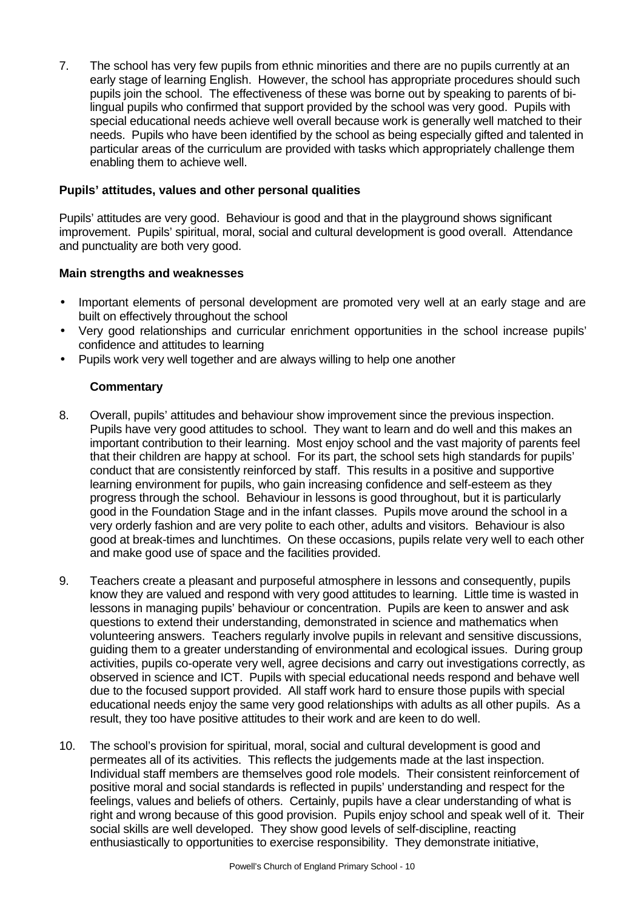7. The school has very few pupils from ethnic minorities and there are no pupils currently at an early stage of learning English. However, the school has appropriate procedures should such pupils join the school. The effectiveness of these was borne out by speaking to parents of bilingual pupils who confirmed that support provided by the school was very good. Pupils with special educational needs achieve well overall because work is generally well matched to their needs. Pupils who have been identified by the school as being especially gifted and talented in particular areas of the curriculum are provided with tasks which appropriately challenge them enabling them to achieve well.

### **Pupils' attitudes, values and other personal qualities**

Pupils' attitudes are very good. Behaviour is good and that in the playground shows significant improvement. Pupils' spiritual, moral, social and cultural development is good overall. Attendance and punctuality are both very good.

#### **Main strengths and weaknesses**

- Important elements of personal development are promoted very well at an early stage and are built on effectively throughout the school
- Very good relationships and curricular enrichment opportunities in the school increase pupils' confidence and attitudes to learning
- Pupils work very well together and are always willing to help one another

- 8. Overall, pupils' attitudes and behaviour show improvement since the previous inspection. Pupils have very good attitudes to school. They want to learn and do well and this makes an important contribution to their learning. Most enjoy school and the vast majority of parents feel that their children are happy at school. For its part, the school sets high standards for pupils' conduct that are consistently reinforced by staff. This results in a positive and supportive learning environment for pupils, who gain increasing confidence and self-esteem as they progress through the school. Behaviour in lessons is good throughout, but it is particularly good in the Foundation Stage and in the infant classes. Pupils move around the school in a very orderly fashion and are very polite to each other, adults and visitors. Behaviour is also good at break-times and lunchtimes. On these occasions, pupils relate very well to each other and make good use of space and the facilities provided.
- 9. Teachers create a pleasant and purposeful atmosphere in lessons and consequently, pupils know they are valued and respond with very good attitudes to learning. Little time is wasted in lessons in managing pupils' behaviour or concentration. Pupils are keen to answer and ask questions to extend their understanding, demonstrated in science and mathematics when volunteering answers. Teachers regularly involve pupils in relevant and sensitive discussions, guiding them to a greater understanding of environmental and ecological issues. During group activities, pupils co-operate very well, agree decisions and carry out investigations correctly, as observed in science and ICT. Pupils with special educational needs respond and behave well due to the focused support provided. All staff work hard to ensure those pupils with special educational needs enjoy the same very good relationships with adults as all other pupils. As a result, they too have positive attitudes to their work and are keen to do well.
- 10. The school's provision for spiritual, moral, social and cultural development is good and permeates all of its activities. This reflects the judgements made at the last inspection. Individual staff members are themselves good role models. Their consistent reinforcement of positive moral and social standards is reflected in pupils' understanding and respect for the feelings, values and beliefs of others. Certainly, pupils have a clear understanding of what is right and wrong because of this good provision. Pupils enjoy school and speak well of it. Their social skills are well developed. They show good levels of self-discipline, reacting enthusiastically to opportunities to exercise responsibility. They demonstrate initiative,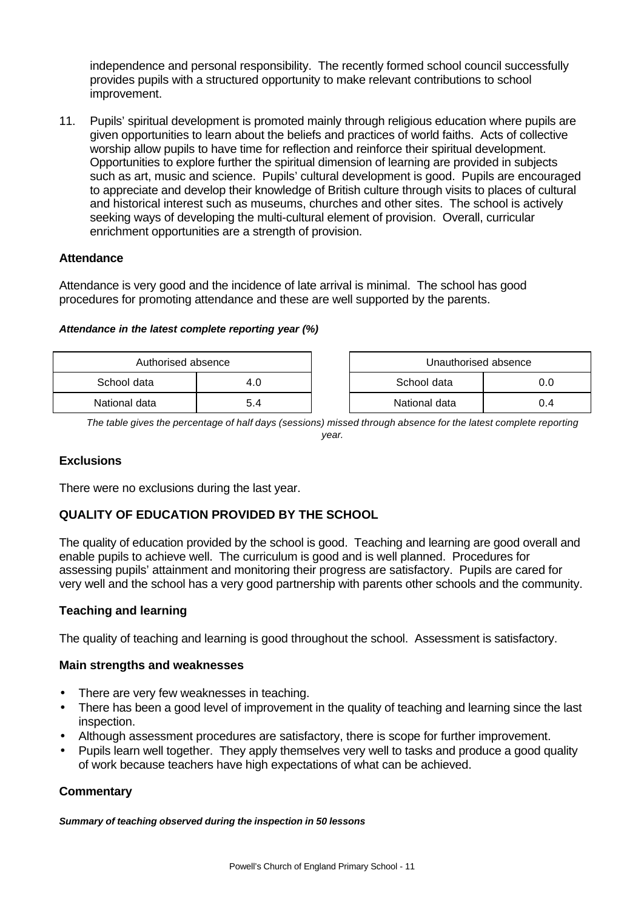independence and personal responsibility. The recently formed school council successfully provides pupils with a structured opportunity to make relevant contributions to school improvement.

11. Pupils' spiritual development is promoted mainly through religious education where pupils are given opportunities to learn about the beliefs and practices of world faiths. Acts of collective worship allow pupils to have time for reflection and reinforce their spiritual development. Opportunities to explore further the spiritual dimension of learning are provided in subjects such as art, music and science. Pupils' cultural development is good. Pupils are encouraged to appreciate and develop their knowledge of British culture through visits to places of cultural and historical interest such as museums, churches and other sites. The school is actively seeking ways of developing the multi-cultural element of provision. Overall, curricular enrichment opportunities are a strength of provision.

# **Attendance**

Attendance is very good and the incidence of late arrival is minimal. The school has good procedures for promoting attendance and these are well supported by the parents.

#### *Attendance in the latest complete reporting year (%)*

| Authorised absence |     | Unauthorised absence |     |
|--------------------|-----|----------------------|-----|
| School data        | 4.0 | School data<br>0.0   |     |
| National data      | 5.4 | National data        | 0.4 |

*The table gives the percentage of half days (sessions) missed through absence for the latest complete reporting year.*

# **Exclusions**

There were no exclusions during the last year.

# **QUALITY OF EDUCATION PROVIDED BY THE SCHOOL**

The quality of education provided by the school is good. Teaching and learning are good overall and enable pupils to achieve well. The curriculum is good and is well planned. Procedures for assessing pupils' attainment and monitoring their progress are satisfactory. Pupils are cared for very well and the school has a very good partnership with parents other schools and the community.

## **Teaching and learning**

The quality of teaching and learning is good throughout the school. Assessment is satisfactory.

## **Main strengths and weaknesses**

- There are very few weaknesses in teaching.
- There has been a good level of improvement in the quality of teaching and learning since the last inspection.
- Although assessment procedures are satisfactory, there is scope for further improvement.
- Pupils learn well together. They apply themselves very well to tasks and produce a good quality of work because teachers have high expectations of what can be achieved.

# **Commentary**

*Summary of teaching observed during the inspection in 50 lessons*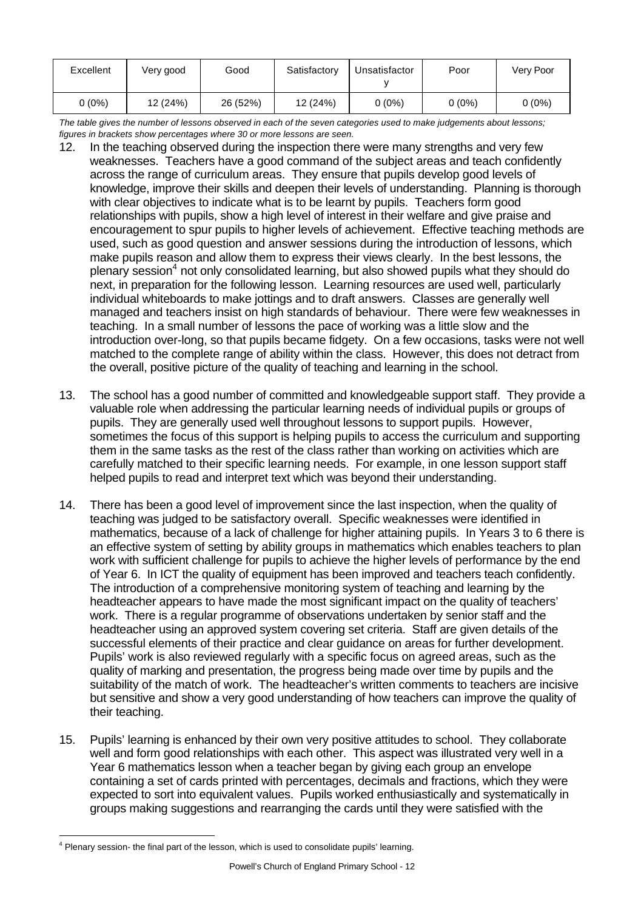| Excellent | Very good | Good     | Satisfactory | Unsatisfactor | Poor   | Very Poor |
|-----------|-----------|----------|--------------|---------------|--------|-----------|
| 0 (0%)    | 12 (24%)  | 26 (52%) | 12 (24%)     | 0 (0%)        | 0 (0%) | $0(0\%)$  |

*The table gives the number of lessons observed in each of the seven categories used to make judgements about lessons; figures in brackets show percentages where 30 or more lessons are seen.*

- 12. In the teaching observed during the inspection there were many strengths and very few weaknesses. Teachers have a good command of the subject areas and teach confidently across the range of curriculum areas. They ensure that pupils develop good levels of knowledge, improve their skills and deepen their levels of understanding. Planning is thorough with clear objectives to indicate what is to be learnt by pupils. Teachers form good relationships with pupils, show a high level of interest in their welfare and give praise and encouragement to spur pupils to higher levels of achievement. Effective teaching methods are used, such as good question and answer sessions during the introduction of lessons, which make pupils reason and allow them to express their views clearly. In the best lessons, the plenary session<sup>4</sup> not only consolidated learning, but also showed pupils what they should do next, in preparation for the following lesson. Learning resources are used well, particularly individual whiteboards to make jottings and to draft answers. Classes are generally well managed and teachers insist on high standards of behaviour. There were few weaknesses in teaching. In a small number of lessons the pace of working was a little slow and the introduction over-long, so that pupils became fidgety. On a few occasions, tasks were not well matched to the complete range of ability within the class. However, this does not detract from the overall, positive picture of the quality of teaching and learning in the school.
- 13. The school has a good number of committed and knowledgeable support staff. They provide a valuable role when addressing the particular learning needs of individual pupils or groups of pupils. They are generally used well throughout lessons to support pupils. However, sometimes the focus of this support is helping pupils to access the curriculum and supporting them in the same tasks as the rest of the class rather than working on activities which are carefully matched to their specific learning needs. For example, in one lesson support staff helped pupils to read and interpret text which was beyond their understanding.
- 14. There has been a good level of improvement since the last inspection, when the quality of teaching was judged to be satisfactory overall. Specific weaknesses were identified in mathematics, because of a lack of challenge for higher attaining pupils. In Years 3 to 6 there is an effective system of setting by ability groups in mathematics which enables teachers to plan work with sufficient challenge for pupils to achieve the higher levels of performance by the end of Year 6. In ICT the quality of equipment has been improved and teachers teach confidently. The introduction of a comprehensive monitoring system of teaching and learning by the headteacher appears to have made the most significant impact on the quality of teachers' work. There is a regular programme of observations undertaken by senior staff and the headteacher using an approved system covering set criteria. Staff are given details of the successful elements of their practice and clear guidance on areas for further development. Pupils' work is also reviewed regularly with a specific focus on agreed areas, such as the quality of marking and presentation, the progress being made over time by pupils and the suitability of the match of work. The headteacher's written comments to teachers are incisive but sensitive and show a very good understanding of how teachers can improve the quality of their teaching.
- 15. Pupils' learning is enhanced by their own very positive attitudes to school. They collaborate well and form good relationships with each other. This aspect was illustrated very well in a Year 6 mathematics lesson when a teacher began by giving each group an envelope containing a set of cards printed with percentages, decimals and fractions, which they were expected to sort into equivalent values. Pupils worked enthusiastically and systematically in groups making suggestions and rearranging the cards until they were satisfied with the

 4 Plenary session- the final part of the lesson, which is used to consolidate pupils' learning.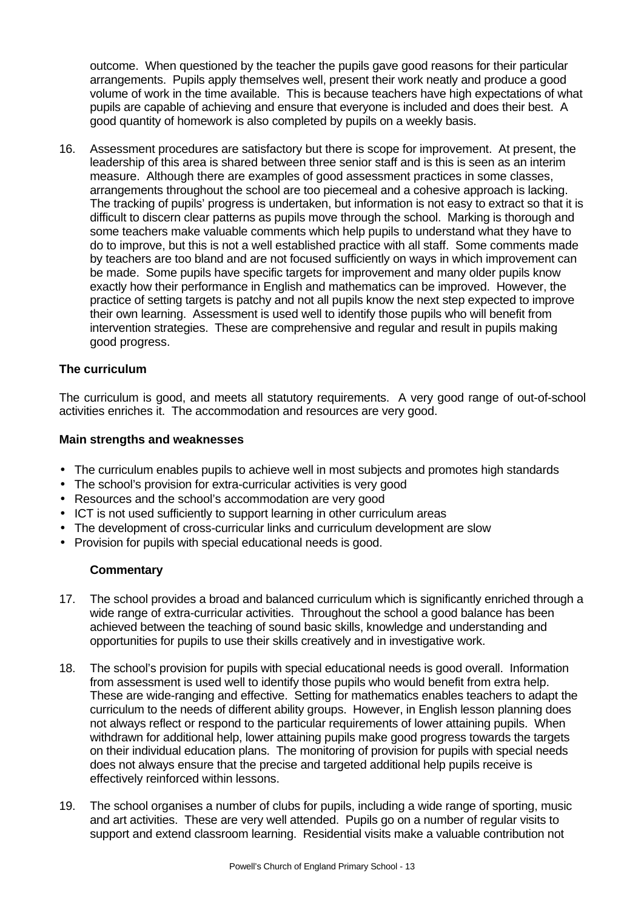outcome. When questioned by the teacher the pupils gave good reasons for their particular arrangements. Pupils apply themselves well, present their work neatly and produce a good volume of work in the time available. This is because teachers have high expectations of what pupils are capable of achieving and ensure that everyone is included and does their best. A good quantity of homework is also completed by pupils on a weekly basis.

16. Assessment procedures are satisfactory but there is scope for improvement. At present, the leadership of this area is shared between three senior staff and is this is seen as an interim measure. Although there are examples of good assessment practices in some classes, arrangements throughout the school are too piecemeal and a cohesive approach is lacking. The tracking of pupils' progress is undertaken, but information is not easy to extract so that it is difficult to discern clear patterns as pupils move through the school. Marking is thorough and some teachers make valuable comments which help pupils to understand what they have to do to improve, but this is not a well established practice with all staff. Some comments made by teachers are too bland and are not focused sufficiently on ways in which improvement can be made. Some pupils have specific targets for improvement and many older pupils know exactly how their performance in English and mathematics can be improved. However, the practice of setting targets is patchy and not all pupils know the next step expected to improve their own learning. Assessment is used well to identify those pupils who will benefit from intervention strategies. These are comprehensive and regular and result in pupils making good progress.

## **The curriculum**

The curriculum is good, and meets all statutory requirements. A very good range of out-of-school activities enriches it. The accommodation and resources are very good.

#### **Main strengths and weaknesses**

- The curriculum enables pupils to achieve well in most subjects and promotes high standards
- The school's provision for extra-curricular activities is very good
- Resources and the school's accommodation are very good
- ICT is not used sufficiently to support learning in other curriculum areas
- The development of cross-curricular links and curriculum development are slow
- Provision for pupils with special educational needs is good.

- 17. The school provides a broad and balanced curriculum which is significantly enriched through a wide range of extra-curricular activities. Throughout the school a good balance has been achieved between the teaching of sound basic skills, knowledge and understanding and opportunities for pupils to use their skills creatively and in investigative work.
- 18. The school's provision for pupils with special educational needs is good overall. Information from assessment is used well to identify those pupils who would benefit from extra help. These are wide-ranging and effective. Setting for mathematics enables teachers to adapt the curriculum to the needs of different ability groups. However, in English lesson planning does not always reflect or respond to the particular requirements of lower attaining pupils. When withdrawn for additional help, lower attaining pupils make good progress towards the targets on their individual education plans. The monitoring of provision for pupils with special needs does not always ensure that the precise and targeted additional help pupils receive is effectively reinforced within lessons.
- 19. The school organises a number of clubs for pupils, including a wide range of sporting, music and art activities. These are very well attended. Pupils go on a number of regular visits to support and extend classroom learning. Residential visits make a valuable contribution not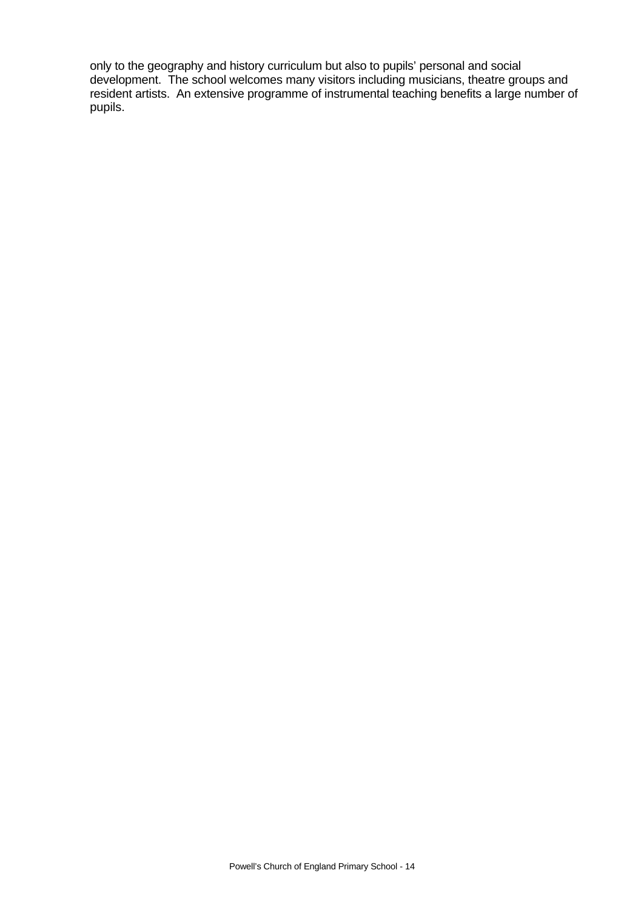only to the geography and history curriculum but also to pupils' personal and social development. The school welcomes many visitors including musicians, theatre groups and resident artists. An extensive programme of instrumental teaching benefits a large number of pupils.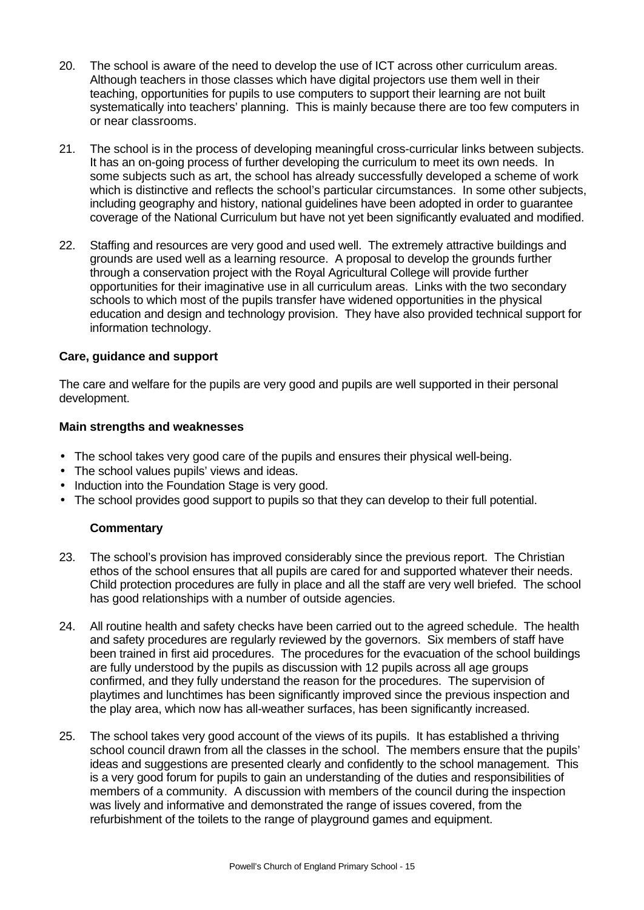- 20. The school is aware of the need to develop the use of ICT across other curriculum areas. Although teachers in those classes which have digital projectors use them well in their teaching, opportunities for pupils to use computers to support their learning are not built systematically into teachers' planning. This is mainly because there are too few computers in or near classrooms.
- 21. The school is in the process of developing meaningful cross-curricular links between subjects. It has an on-going process of further developing the curriculum to meet its own needs. In some subjects such as art, the school has already successfully developed a scheme of work which is distinctive and reflects the school's particular circumstances. In some other subjects, including geography and history, national guidelines have been adopted in order to guarantee coverage of the National Curriculum but have not yet been significantly evaluated and modified.
- 22. Staffing and resources are very good and used well. The extremely attractive buildings and grounds are used well as a learning resource. A proposal to develop the grounds further through a conservation project with the Royal Agricultural College will provide further opportunities for their imaginative use in all curriculum areas. Links with the two secondary schools to which most of the pupils transfer have widened opportunities in the physical education and design and technology provision. They have also provided technical support for information technology.

## **Care, guidance and support**

The care and welfare for the pupils are very good and pupils are well supported in their personal development.

## **Main strengths and weaknesses**

- The school takes very good care of the pupils and ensures their physical well-being.
- The school values pupils' views and ideas.
- Induction into the Foundation Stage is very good.
- The school provides good support to pupils so that they can develop to their full potential.

- 23. The school's provision has improved considerably since the previous report. The Christian ethos of the school ensures that all pupils are cared for and supported whatever their needs. Child protection procedures are fully in place and all the staff are very well briefed. The school has good relationships with a number of outside agencies.
- 24. All routine health and safety checks have been carried out to the agreed schedule. The health and safety procedures are regularly reviewed by the governors. Six members of staff have been trained in first aid procedures. The procedures for the evacuation of the school buildings are fully understood by the pupils as discussion with 12 pupils across all age groups confirmed, and they fully understand the reason for the procedures. The supervision of playtimes and lunchtimes has been significantly improved since the previous inspection and the play area, which now has all-weather surfaces, has been significantly increased.
- 25. The school takes very good account of the views of its pupils. It has established a thriving school council drawn from all the classes in the school. The members ensure that the pupils' ideas and suggestions are presented clearly and confidently to the school management. This is a very good forum for pupils to gain an understanding of the duties and responsibilities of members of a community. A discussion with members of the council during the inspection was lively and informative and demonstrated the range of issues covered, from the refurbishment of the toilets to the range of playground games and equipment.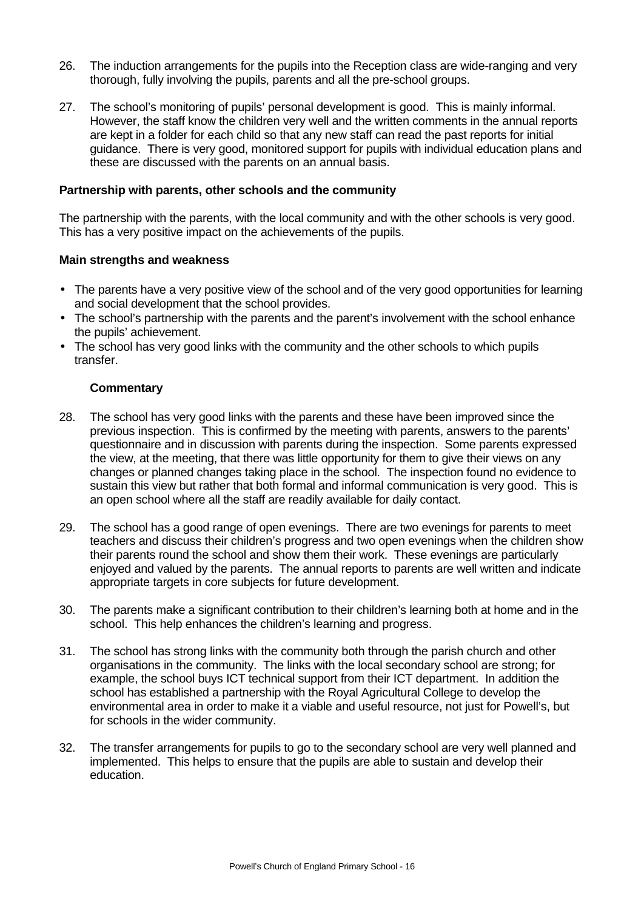- 26. The induction arrangements for the pupils into the Reception class are wide-ranging and very thorough, fully involving the pupils, parents and all the pre-school groups.
- 27. The school's monitoring of pupils' personal development is good. This is mainly informal. However, the staff know the children very well and the written comments in the annual reports are kept in a folder for each child so that any new staff can read the past reports for initial guidance. There is very good, monitored support for pupils with individual education plans and these are discussed with the parents on an annual basis.

#### **Partnership with parents, other schools and the community**

The partnership with the parents, with the local community and with the other schools is very good. This has a very positive impact on the achievements of the pupils.

#### **Main strengths and weakness**

- The parents have a very positive view of the school and of the very good opportunities for learning and social development that the school provides.
- The school's partnership with the parents and the parent's involvement with the school enhance the pupils' achievement.
- The school has very good links with the community and the other schools to which pupils transfer.

- 28. The school has very good links with the parents and these have been improved since the previous inspection. This is confirmed by the meeting with parents, answers to the parents' questionnaire and in discussion with parents during the inspection. Some parents expressed the view, at the meeting, that there was little opportunity for them to give their views on any changes or planned changes taking place in the school. The inspection found no evidence to sustain this view but rather that both formal and informal communication is very good. This is an open school where all the staff are readily available for daily contact.
- 29. The school has a good range of open evenings. There are two evenings for parents to meet teachers and discuss their children's progress and two open evenings when the children show their parents round the school and show them their work. These evenings are particularly enjoyed and valued by the parents. The annual reports to parents are well written and indicate appropriate targets in core subjects for future development.
- 30. The parents make a significant contribution to their children's learning both at home and in the school. This help enhances the children's learning and progress.
- 31. The school has strong links with the community both through the parish church and other organisations in the community. The links with the local secondary school are strong; for example, the school buys ICT technical support from their ICT department. In addition the school has established a partnership with the Royal Agricultural College to develop the environmental area in order to make it a viable and useful resource, not just for Powell's, but for schools in the wider community.
- 32. The transfer arrangements for pupils to go to the secondary school are very well planned and implemented. This helps to ensure that the pupils are able to sustain and develop their education.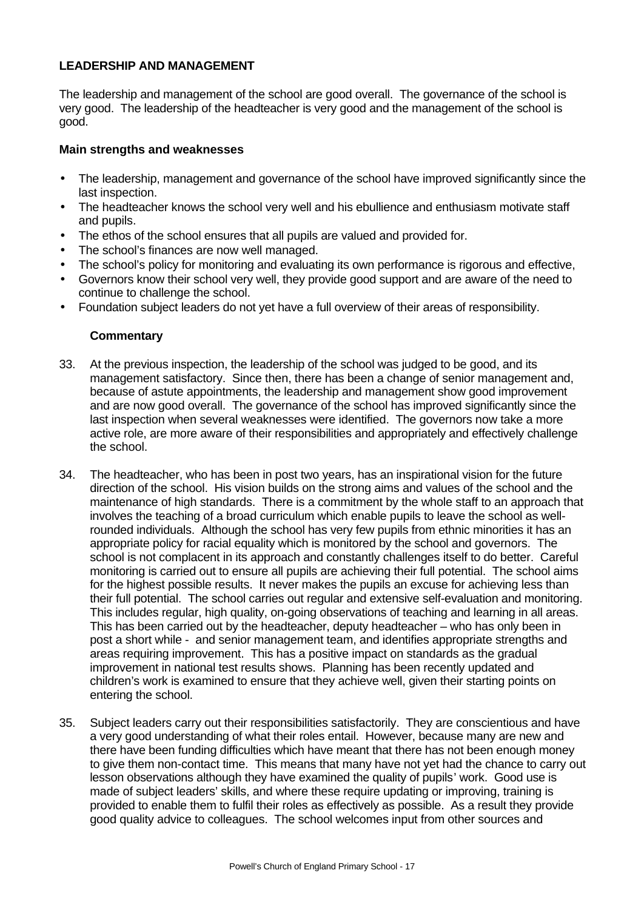# **LEADERSHIP AND MANAGEMENT**

The leadership and management of the school are good overall. The governance of the school is very good. The leadership of the headteacher is very good and the management of the school is good.

# **Main strengths and weaknesses**

- The leadership, management and governance of the school have improved significantly since the last inspection.
- The headteacher knows the school very well and his ebullience and enthusiasm motivate staff and pupils.
- The ethos of the school ensures that all pupils are valued and provided for.
- The school's finances are now well managed.
- The school's policy for monitoring and evaluating its own performance is rigorous and effective,
- Governors know their school very well, they provide good support and are aware of the need to continue to challenge the school.
- Foundation subject leaders do not yet have a full overview of their areas of responsibility.

- 33. At the previous inspection, the leadership of the school was judged to be good, and its management satisfactory. Since then, there has been a change of senior management and, because of astute appointments, the leadership and management show good improvement and are now good overall. The governance of the school has improved significantly since the last inspection when several weaknesses were identified. The governors now take a more active role, are more aware of their responsibilities and appropriately and effectively challenge the school.
- 34. The headteacher, who has been in post two years, has an inspirational vision for the future direction of the school. His vision builds on the strong aims and values of the school and the maintenance of high standards. There is a commitment by the whole staff to an approach that involves the teaching of a broad curriculum which enable pupils to leave the school as wellrounded individuals. Although the school has very few pupils from ethnic minorities it has an appropriate policy for racial equality which is monitored by the school and governors. The school is not complacent in its approach and constantly challenges itself to do better. Careful monitoring is carried out to ensure all pupils are achieving their full potential. The school aims for the highest possible results. It never makes the pupils an excuse for achieving less than their full potential. The school carries out regular and extensive self-evaluation and monitoring. This includes regular, high quality, on-going observations of teaching and learning in all areas. This has been carried out by the headteacher, deputy headteacher – who has only been in post a short while - and senior management team, and identifies appropriate strengths and areas requiring improvement. This has a positive impact on standards as the gradual improvement in national test results shows. Planning has been recently updated and children's work is examined to ensure that they achieve well, given their starting points on entering the school.
- 35. Subject leaders carry out their responsibilities satisfactorily. They are conscientious and have a very good understanding of what their roles entail. However, because many are new and there have been funding difficulties which have meant that there has not been enough money to give them non-contact time. This means that many have not yet had the chance to carry out lesson observations although they have examined the quality of pupils' work. Good use is made of subject leaders' skills, and where these require updating or improving, training is provided to enable them to fulfil their roles as effectively as possible. As a result they provide good quality advice to colleagues. The school welcomes input from other sources and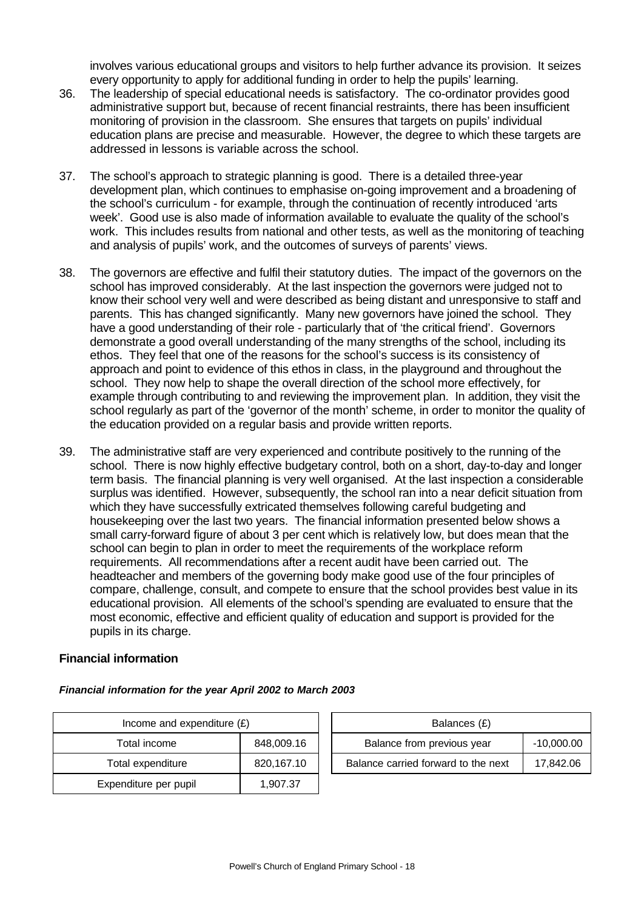involves various educational groups and visitors to help further advance its provision. It seizes every opportunity to apply for additional funding in order to help the pupils' learning.

- 36. The leadership of special educational needs is satisfactory. The co-ordinator provides good administrative support but, because of recent financial restraints, there has been insufficient monitoring of provision in the classroom. She ensures that targets on pupils' individual education plans are precise and measurable. However, the degree to which these targets are addressed in lessons is variable across the school.
- 37. The school's approach to strategic planning is good. There is a detailed three-year development plan, which continues to emphasise on-going improvement and a broadening of the school's curriculum - for example, through the continuation of recently introduced 'arts week'. Good use is also made of information available to evaluate the quality of the school's work. This includes results from national and other tests, as well as the monitoring of teaching and analysis of pupils' work, and the outcomes of surveys of parents' views.
- 38. The governors are effective and fulfil their statutory duties. The impact of the governors on the school has improved considerably. At the last inspection the governors were judged not to know their school very well and were described as being distant and unresponsive to staff and parents. This has changed significantly. Many new governors have joined the school. They have a good understanding of their role - particularly that of 'the critical friend'. Governors demonstrate a good overall understanding of the many strengths of the school, including its ethos. They feel that one of the reasons for the school's success is its consistency of approach and point to evidence of this ethos in class, in the playground and throughout the school. They now help to shape the overall direction of the school more effectively, for example through contributing to and reviewing the improvement plan. In addition, they visit the school regularly as part of the 'governor of the month' scheme, in order to monitor the quality of the education provided on a regular basis and provide written reports.
- 39. The administrative staff are very experienced and contribute positively to the running of the school. There is now highly effective budgetary control, both on a short, day-to-day and longer term basis. The financial planning is very well organised. At the last inspection a considerable surplus was identified. However, subsequently, the school ran into a near deficit situation from which they have successfully extricated themselves following careful budgeting and housekeeping over the last two years. The financial information presented below shows a small carry-forward figure of about 3 per cent which is relatively low, but does mean that the school can begin to plan in order to meet the requirements of the workplace reform requirements. All recommendations after a recent audit have been carried out. The headteacher and members of the governing body make good use of the four principles of compare, challenge, consult, and compete to ensure that the school provides best value in its educational provision. All elements of the school's spending are evaluated to ensure that the most economic, effective and efficient quality of education and support is provided for the pupils in its charge.

#### **Financial information**

| Income and expenditure $(E)$ |            |  | Balances (£)                   |
|------------------------------|------------|--|--------------------------------|
| Total income                 | 848,009.16 |  | Balance from previous year     |
| Total expenditure            | 820,167.10 |  | Balance carried forward to the |
| Expenditure per pupil        | 1,907.37   |  |                                |

| Income and expenditure $(E)$ |            | Balances (£)                               |           |
|------------------------------|------------|--------------------------------------------|-----------|
| Total income                 | 848,009.16 | Balance from previous year<br>$-10,000.00$ |           |
| Total expenditure            | 820,167.10 | Balance carried forward to the next        | 17.842.06 |

#### *Financial information for the year April 2002 to March 2003*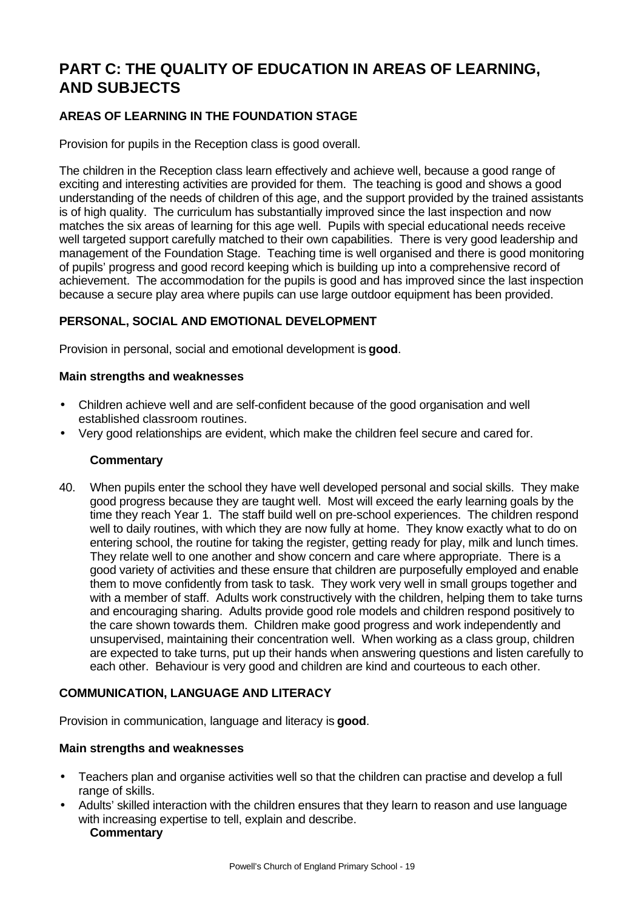# **PART C: THE QUALITY OF EDUCATION IN AREAS OF LEARNING, AND SUBJECTS**

# **AREAS OF LEARNING IN THE FOUNDATION STAGE**

Provision for pupils in the Reception class is good overall.

The children in the Reception class learn effectively and achieve well, because a good range of exciting and interesting activities are provided for them. The teaching is good and shows a good understanding of the needs of children of this age, and the support provided by the trained assistants is of high quality. The curriculum has substantially improved since the last inspection and now matches the six areas of learning for this age well. Pupils with special educational needs receive well targeted support carefully matched to their own capabilities. There is very good leadership and management of the Foundation Stage. Teaching time is well organised and there is good monitoring of pupils' progress and good record keeping which is building up into a comprehensive record of achievement. The accommodation for the pupils is good and has improved since the last inspection because a secure play area where pupils can use large outdoor equipment has been provided.

# **PERSONAL, SOCIAL AND EMOTIONAL DEVELOPMENT**

Provision in personal, social and emotional development is **good**.

#### **Main strengths and weaknesses**

- Children achieve well and are self-confident because of the good organisation and well established classroom routines.
- Very good relationships are evident, which make the children feel secure and cared for.

#### **Commentary**

40. When pupils enter the school they have well developed personal and social skills. They make good progress because they are taught well. Most will exceed the early learning goals by the time they reach Year 1. The staff build well on pre-school experiences. The children respond well to daily routines, with which they are now fully at home. They know exactly what to do on entering school, the routine for taking the register, getting ready for play, milk and lunch times. They relate well to one another and show concern and care where appropriate. There is a good variety of activities and these ensure that children are purposefully employed and enable them to move confidently from task to task. They work very well in small groups together and with a member of staff. Adults work constructively with the children, helping them to take turns and encouraging sharing. Adults provide good role models and children respond positively to the care shown towards them. Children make good progress and work independently and unsupervised, maintaining their concentration well. When working as a class group, children are expected to take turns, put up their hands when answering questions and listen carefully to each other. Behaviour is very good and children are kind and courteous to each other.

## **COMMUNICATION, LANGUAGE AND LITERACY**

Provision in communication, language and literacy is **good**.

#### **Main strengths and weaknesses**

- Teachers plan and organise activities well so that the children can practise and develop a full range of skills.
- Adults' skilled interaction with the children ensures that they learn to reason and use language with increasing expertise to tell, explain and describe. **Commentary**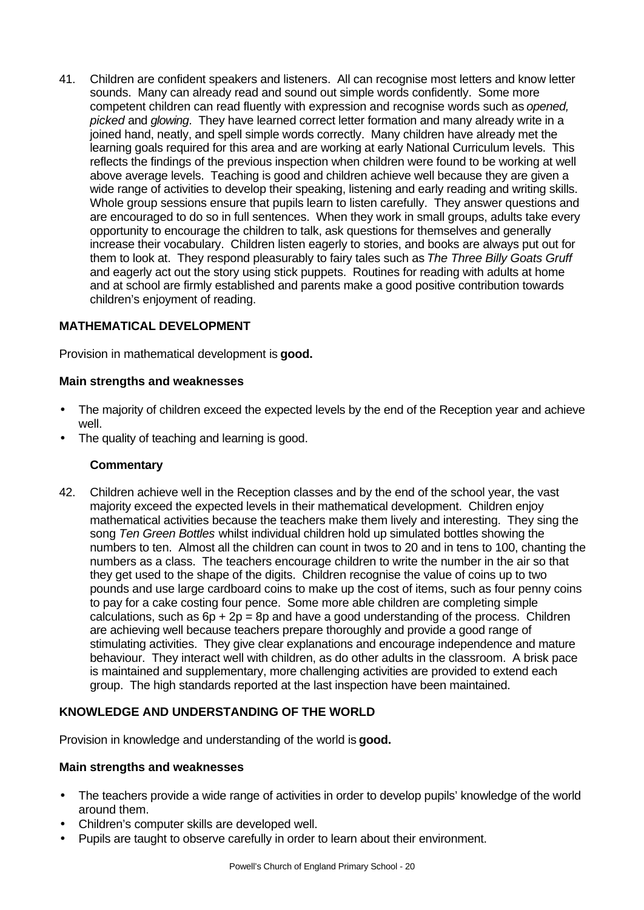41. Children are confident speakers and listeners. All can recognise most letters and know letter sounds. Many can already read and sound out simple words confidently. Some more competent children can read fluently with expression and recognise words such as *opened, picked* and *glowing*. They have learned correct letter formation and many already write in a joined hand, neatly, and spell simple words correctly. Many children have already met the learning goals required for this area and are working at early National Curriculum levels. This reflects the findings of the previous inspection when children were found to be working at well above average levels. Teaching is good and children achieve well because they are given a wide range of activities to develop their speaking, listening and early reading and writing skills. Whole group sessions ensure that pupils learn to listen carefully. They answer questions and are encouraged to do so in full sentences. When they work in small groups, adults take every opportunity to encourage the children to talk, ask questions for themselves and generally increase their vocabulary. Children listen eagerly to stories, and books are always put out for them to look at. They respond pleasurably to fairy tales such as *The Three Billy Goats Gruff* and eagerly act out the story using stick puppets. Routines for reading with adults at home and at school are firmly established and parents make a good positive contribution towards children's enjoyment of reading.

# **MATHEMATICAL DEVELOPMENT**

Provision in mathematical development is **good.**

## **Main strengths and weaknesses**

- The majority of children exceed the expected levels by the end of the Reception year and achieve well.
- The quality of teaching and learning is good.

## **Commentary**

42. Children achieve well in the Reception classes and by the end of the school year, the vast majority exceed the expected levels in their mathematical development. Children enjoy mathematical activities because the teachers make them lively and interesting. They sing the song *Ten Green Bottles* whilst individual children hold up simulated bottles showing the numbers to ten. Almost all the children can count in twos to 20 and in tens to 100, chanting the numbers as a class. The teachers encourage children to write the number in the air so that they get used to the shape of the digits. Children recognise the value of coins up to two pounds and use large cardboard coins to make up the cost of items, such as four penny coins to pay for a cake costing four pence. Some more able children are completing simple calculations, such as  $6p + 2p = 8p$  and have a good understanding of the process. Children are achieving well because teachers prepare thoroughly and provide a good range of stimulating activities. They give clear explanations and encourage independence and mature behaviour. They interact well with children, as do other adults in the classroom. A brisk pace is maintained and supplementary, more challenging activities are provided to extend each group. The high standards reported at the last inspection have been maintained.

# **KNOWLEDGE AND UNDERSTANDING OF THE WORLD**

Provision in knowledge and understanding of the world is **good.**

## **Main strengths and weaknesses**

- The teachers provide a wide range of activities in order to develop pupils' knowledge of the world around them.
- Children's computer skills are developed well.
- Pupils are taught to observe carefully in order to learn about their environment.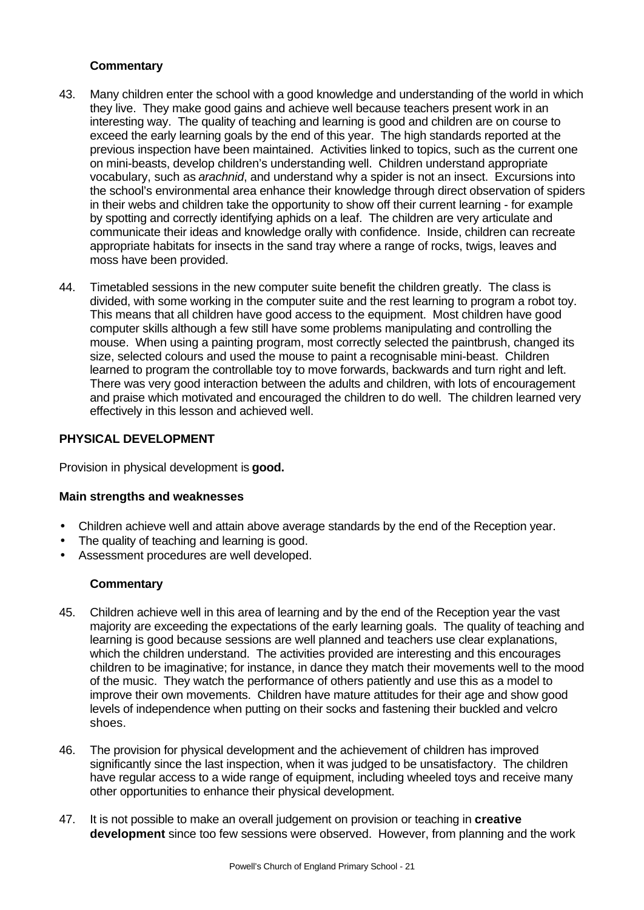# **Commentary**

- 43. Many children enter the school with a good knowledge and understanding of the world in which they live. They make good gains and achieve well because teachers present work in an interesting way. The quality of teaching and learning is good and children are on course to exceed the early learning goals by the end of this year. The high standards reported at the previous inspection have been maintained. Activities linked to topics, such as the current one on mini-beasts, develop children's understanding well. Children understand appropriate vocabulary, such as *arachnid*, and understand why a spider is not an insect. Excursions into the school's environmental area enhance their knowledge through direct observation of spiders in their webs and children take the opportunity to show off their current learning - for example by spotting and correctly identifying aphids on a leaf. The children are very articulate and communicate their ideas and knowledge orally with confidence. Inside, children can recreate appropriate habitats for insects in the sand tray where a range of rocks, twigs, leaves and moss have been provided.
- 44. Timetabled sessions in the new computer suite benefit the children greatly. The class is divided, with some working in the computer suite and the rest learning to program a robot toy. This means that all children have good access to the equipment. Most children have good computer skills although a few still have some problems manipulating and controlling the mouse. When using a painting program, most correctly selected the paintbrush, changed its size, selected colours and used the mouse to paint a recognisable mini-beast. Children learned to program the controllable toy to move forwards, backwards and turn right and left. There was very good interaction between the adults and children, with lots of encouragement and praise which motivated and encouraged the children to do well. The children learned very effectively in this lesson and achieved well.

# **PHYSICAL DEVELOPMENT**

Provision in physical development is **good.**

## **Main strengths and weaknesses**

- Children achieve well and attain above average standards by the end of the Reception year.
- The quality of teaching and learning is good.
- Assessment procedures are well developed.

- 45. Children achieve well in this area of learning and by the end of the Reception year the vast majority are exceeding the expectations of the early learning goals. The quality of teaching and learning is good because sessions are well planned and teachers use clear explanations, which the children understand. The activities provided are interesting and this encourages children to be imaginative; for instance, in dance they match their movements well to the mood of the music. They watch the performance of others patiently and use this as a model to improve their own movements. Children have mature attitudes for their age and show good levels of independence when putting on their socks and fastening their buckled and velcro shoes.
- 46. The provision for physical development and the achievement of children has improved significantly since the last inspection, when it was judged to be unsatisfactory. The children have regular access to a wide range of equipment, including wheeled toys and receive many other opportunities to enhance their physical development.
- 47. It is not possible to make an overall judgement on provision or teaching in **creative development** since too few sessions were observed. However, from planning and the work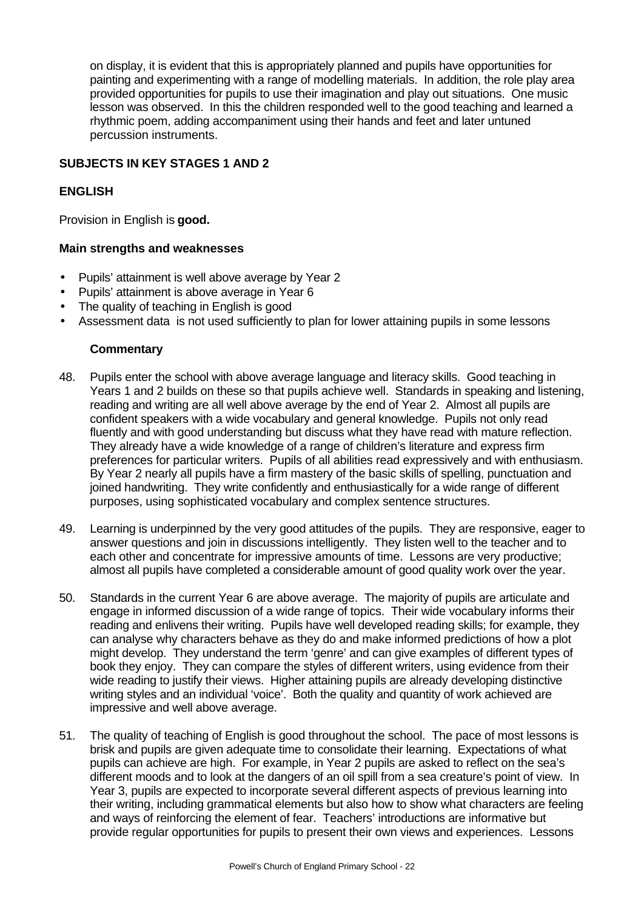on display, it is evident that this is appropriately planned and pupils have opportunities for painting and experimenting with a range of modelling materials. In addition, the role play area provided opportunities for pupils to use their imagination and play out situations. One music lesson was observed. In this the children responded well to the good teaching and learned a rhythmic poem, adding accompaniment using their hands and feet and later untuned percussion instruments.

# **SUBJECTS IN KEY STAGES 1 AND 2**

# **ENGLISH**

Provision in English is **good.**

#### **Main strengths and weaknesses**

- Pupils' attainment is well above average by Year 2
- Pupils' attainment is above average in Year 6
- The quality of teaching in English is good
- Assessment data is not used sufficiently to plan for lower attaining pupils in some lessons

- 48. Pupils enter the school with above average language and literacy skills. Good teaching in Years 1 and 2 builds on these so that pupils achieve well. Standards in speaking and listening, reading and writing are all well above average by the end of Year 2. Almost all pupils are confident speakers with a wide vocabulary and general knowledge. Pupils not only read fluently and with good understanding but discuss what they have read with mature reflection. They already have a wide knowledge of a range of children's literature and express firm preferences for particular writers. Pupils of all abilities read expressively and with enthusiasm. By Year 2 nearly all pupils have a firm mastery of the basic skills of spelling, punctuation and joined handwriting. They write confidently and enthusiastically for a wide range of different purposes, using sophisticated vocabulary and complex sentence structures.
- 49. Learning is underpinned by the very good attitudes of the pupils. They are responsive, eager to answer questions and join in discussions intelligently. They listen well to the teacher and to each other and concentrate for impressive amounts of time. Lessons are very productive; almost all pupils have completed a considerable amount of good quality work over the year.
- 50. Standards in the current Year 6 are above average. The majority of pupils are articulate and engage in informed discussion of a wide range of topics. Their wide vocabulary informs their reading and enlivens their writing. Pupils have well developed reading skills; for example, they can analyse why characters behave as they do and make informed predictions of how a plot might develop. They understand the term 'genre' and can give examples of different types of book they enjoy. They can compare the styles of different writers, using evidence from their wide reading to justify their views. Higher attaining pupils are already developing distinctive writing styles and an individual 'voice'. Both the quality and quantity of work achieved are impressive and well above average.
- 51. The quality of teaching of English is good throughout the school. The pace of most lessons is brisk and pupils are given adequate time to consolidate their learning. Expectations of what pupils can achieve are high. For example, in Year 2 pupils are asked to reflect on the sea's different moods and to look at the dangers of an oil spill from a sea creature's point of view. In Year 3, pupils are expected to incorporate several different aspects of previous learning into their writing, including grammatical elements but also how to show what characters are feeling and ways of reinforcing the element of fear. Teachers' introductions are informative but provide regular opportunities for pupils to present their own views and experiences. Lessons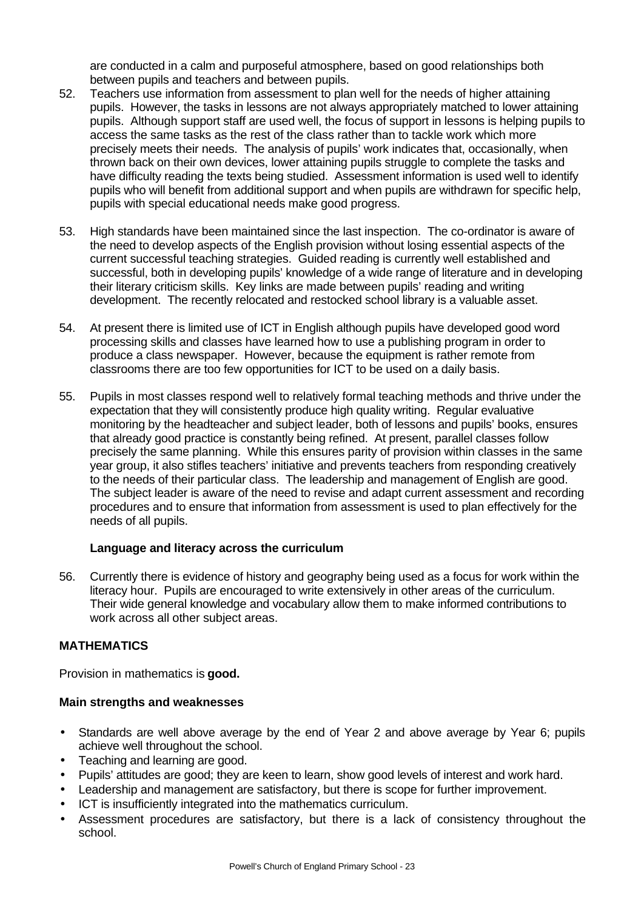are conducted in a calm and purposeful atmosphere, based on good relationships both between pupils and teachers and between pupils.

- 52. Teachers use information from assessment to plan well for the needs of higher attaining pupils. However, the tasks in lessons are not always appropriately matched to lower attaining pupils. Although support staff are used well, the focus of support in lessons is helping pupils to access the same tasks as the rest of the class rather than to tackle work which more precisely meets their needs. The analysis of pupils' work indicates that, occasionally, when thrown back on their own devices, lower attaining pupils struggle to complete the tasks and have difficulty reading the texts being studied. Assessment information is used well to identify pupils who will benefit from additional support and when pupils are withdrawn for specific help, pupils with special educational needs make good progress.
- 53. High standards have been maintained since the last inspection. The co-ordinator is aware of the need to develop aspects of the English provision without losing essential aspects of the current successful teaching strategies. Guided reading is currently well established and successful, both in developing pupils' knowledge of a wide range of literature and in developing their literary criticism skills. Key links are made between pupils' reading and writing development. The recently relocated and restocked school library is a valuable asset.
- 54. At present there is limited use of ICT in English although pupils have developed good word processing skills and classes have learned how to use a publishing program in order to produce a class newspaper. However, because the equipment is rather remote from classrooms there are too few opportunities for ICT to be used on a daily basis.
- 55. Pupils in most classes respond well to relatively formal teaching methods and thrive under the expectation that they will consistently produce high quality writing. Regular evaluative monitoring by the headteacher and subject leader, both of lessons and pupils' books, ensures that already good practice is constantly being refined. At present, parallel classes follow precisely the same planning. While this ensures parity of provision within classes in the same year group, it also stifles teachers' initiative and prevents teachers from responding creatively to the needs of their particular class. The leadership and management of English are good. The subject leader is aware of the need to revise and adapt current assessment and recording procedures and to ensure that information from assessment is used to plan effectively for the needs of all pupils.

## **Language and literacy across the curriculum**

56. Currently there is evidence of history and geography being used as a focus for work within the literacy hour. Pupils are encouraged to write extensively in other areas of the curriculum. Their wide general knowledge and vocabulary allow them to make informed contributions to work across all other subject areas.

# **MATHEMATICS**

Provision in mathematics is **good.**

## **Main strengths and weaknesses**

- Standards are well above average by the end of Year 2 and above average by Year 6; pupils achieve well throughout the school.
- Teaching and learning are good.
- Pupils' attitudes are good; they are keen to learn, show good levels of interest and work hard.
- Leadership and management are satisfactory, but there is scope for further improvement.
- ICT is insufficiently integrated into the mathematics curriculum.
- Assessment procedures are satisfactory, but there is a lack of consistency throughout the school.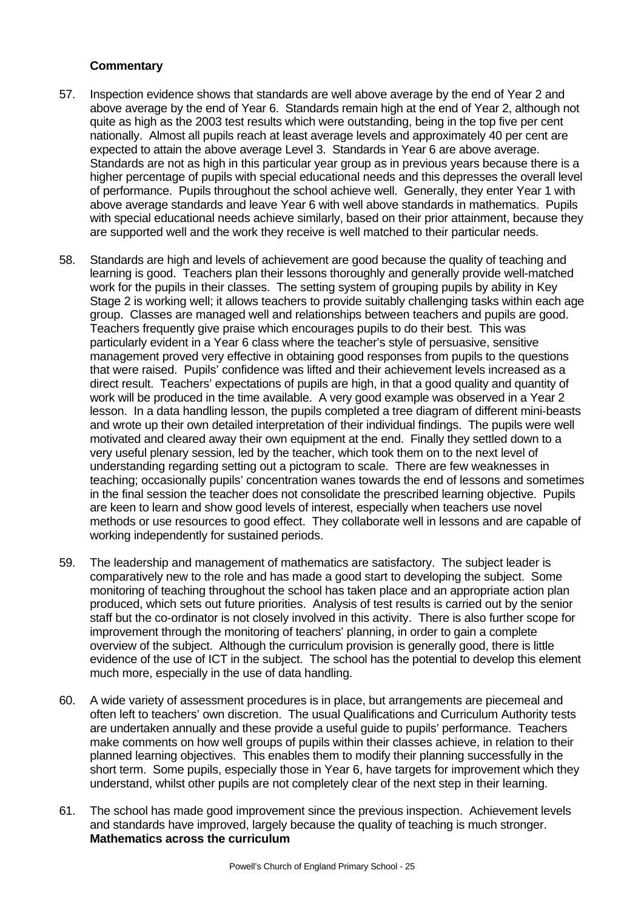- 57. Inspection evidence shows that standards are well above average by the end of Year 2 and above average by the end of Year 6. Standards remain high at the end of Year 2, although not quite as high as the 2003 test results which were outstanding, being in the top five per cent nationally. Almost all pupils reach at least average levels and approximately 40 per cent are expected to attain the above average Level 3. Standards in Year 6 are above average. Standards are not as high in this particular year group as in previous years because there is a higher percentage of pupils with special educational needs and this depresses the overall level of performance. Pupils throughout the school achieve well. Generally, they enter Year 1 with above average standards and leave Year 6 with well above standards in mathematics. Pupils with special educational needs achieve similarly, based on their prior attainment, because they are supported well and the work they receive is well matched to their particular needs.
- 58. Standards are high and levels of achievement are good because the quality of teaching and learning is good. Teachers plan their lessons thoroughly and generally provide well-matched work for the pupils in their classes. The setting system of grouping pupils by ability in Key Stage 2 is working well; it allows teachers to provide suitably challenging tasks within each age group. Classes are managed well and relationships between teachers and pupils are good. Teachers frequently give praise which encourages pupils to do their best. This was particularly evident in a Year 6 class where the teacher's style of persuasive, sensitive management proved very effective in obtaining good responses from pupils to the questions that were raised. Pupils' confidence was lifted and their achievement levels increased as a direct result. Teachers' expectations of pupils are high, in that a good quality and quantity of work will be produced in the time available. A very good example was observed in a Year 2 lesson. In a data handling lesson, the pupils completed a tree diagram of different mini-beasts and wrote up their own detailed interpretation of their individual findings. The pupils were well motivated and cleared away their own equipment at the end. Finally they settled down to a very useful plenary session, led by the teacher, which took them on to the next level of understanding regarding setting out a pictogram to scale. There are few weaknesses in teaching; occasionally pupils' concentration wanes towards the end of lessons and sometimes in the final session the teacher does not consolidate the prescribed learning objective. Pupils are keen to learn and show good levels of interest, especially when teachers use novel methods or use resources to good effect. They collaborate well in lessons and are capable of working independently for sustained periods.
- 59. The leadership and management of mathematics are satisfactory. The subject leader is comparatively new to the role and has made a good start to developing the subject. Some monitoring of teaching throughout the school has taken place and an appropriate action plan produced, which sets out future priorities. Analysis of test results is carried out by the senior staff but the co-ordinator is not closely involved in this activity. There is also further scope for improvement through the monitoring of teachers' planning, in order to gain a complete overview of the subject. Although the curriculum provision is generally good, there is little evidence of the use of ICT in the subject. The school has the potential to develop this element much more, especially in the use of data handling.
- 60. A wide variety of assessment procedures is in place, but arrangements are piecemeal and often left to teachers' own discretion. The usual Qualifications and Curriculum Authority tests are undertaken annually and these provide a useful guide to pupils' performance. Teachers make comments on how well groups of pupils within their classes achieve, in relation to their planned learning objectives. This enables them to modify their planning successfully in the short term. Some pupils, especially those in Year 6, have targets for improvement which they understand, whilst other pupils are not completely clear of the next step in their learning.
- 61. The school has made good improvement since the previous inspection. Achievement levels and standards have improved, largely because the quality of teaching is much stronger. **Mathematics across the curriculum**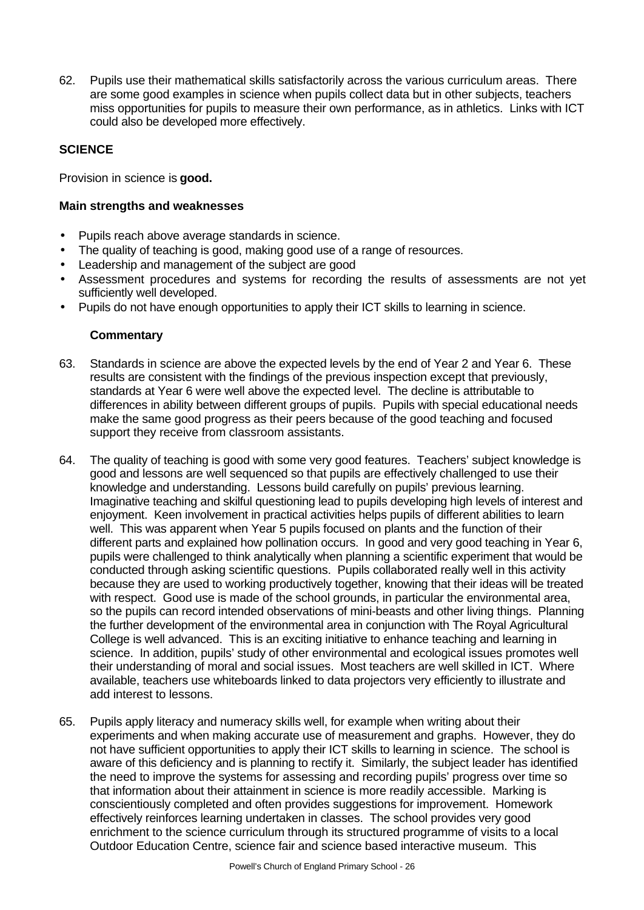62. Pupils use their mathematical skills satisfactorily across the various curriculum areas. There are some good examples in science when pupils collect data but in other subjects, teachers miss opportunities for pupils to measure their own performance, as in athletics. Links with ICT could also be developed more effectively.

# **SCIENCE**

Provision in science is **good.**

# **Main strengths and weaknesses**

- Pupils reach above average standards in science.
- The quality of teaching is good, making good use of a range of resources.
- Leadership and management of the subject are good
- Assessment procedures and systems for recording the results of assessments are not yet sufficiently well developed.
- Pupils do not have enough opportunities to apply their ICT skills to learning in science.

- 63. Standards in science are above the expected levels by the end of Year 2 and Year 6. These results are consistent with the findings of the previous inspection except that previously, standards at Year 6 were well above the expected level. The decline is attributable to differences in ability between different groups of pupils. Pupils with special educational needs make the same good progress as their peers because of the good teaching and focused support they receive from classroom assistants.
- 64. The quality of teaching is good with some very good features. Teachers' subject knowledge is good and lessons are well sequenced so that pupils are effectively challenged to use their knowledge and understanding. Lessons build carefully on pupils' previous learning. Imaginative teaching and skilful questioning lead to pupils developing high levels of interest and enjoyment. Keen involvement in practical activities helps pupils of different abilities to learn well. This was apparent when Year 5 pupils focused on plants and the function of their different parts and explained how pollination occurs. In good and very good teaching in Year 6, pupils were challenged to think analytically when planning a scientific experiment that would be conducted through asking scientific questions. Pupils collaborated really well in this activity because they are used to working productively together, knowing that their ideas will be treated with respect. Good use is made of the school grounds, in particular the environmental area, so the pupils can record intended observations of mini-beasts and other living things. Planning the further development of the environmental area in conjunction with The Royal Agricultural College is well advanced. This is an exciting initiative to enhance teaching and learning in science. In addition, pupils' study of other environmental and ecological issues promotes well their understanding of moral and social issues. Most teachers are well skilled in ICT. Where available, teachers use whiteboards linked to data projectors very efficiently to illustrate and add interest to lessons.
- 65. Pupils apply literacy and numeracy skills well, for example when writing about their experiments and when making accurate use of measurement and graphs. However, they do not have sufficient opportunities to apply their ICT skills to learning in science. The school is aware of this deficiency and is planning to rectify it. Similarly, the subject leader has identified the need to improve the systems for assessing and recording pupils' progress over time so that information about their attainment in science is more readily accessible. Marking is conscientiously completed and often provides suggestions for improvement. Homework effectively reinforces learning undertaken in classes. The school provides very good enrichment to the science curriculum through its structured programme of visits to a local Outdoor Education Centre, science fair and science based interactive museum. This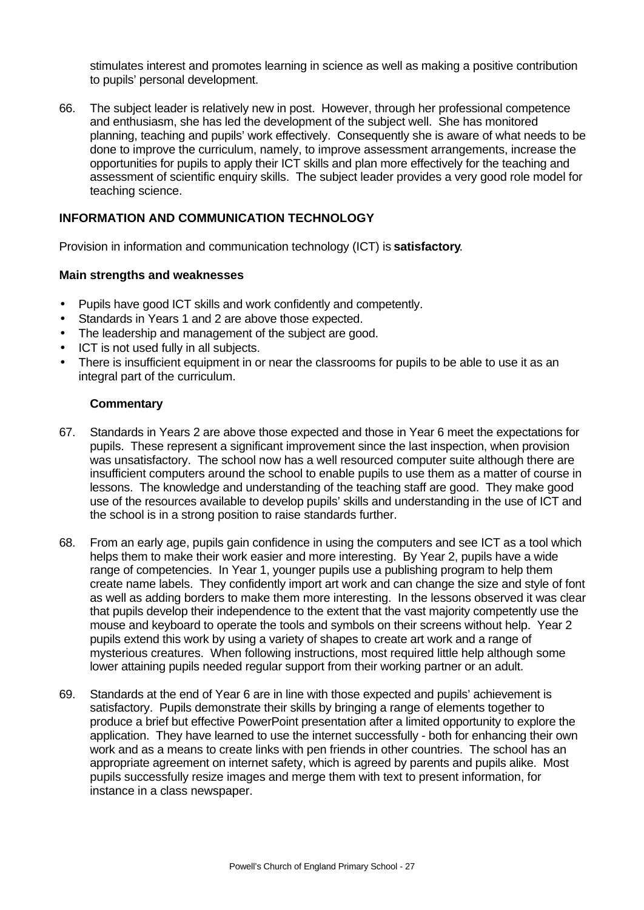stimulates interest and promotes learning in science as well as making a positive contribution to pupils' personal development.

66. The subject leader is relatively new in post. However, through her professional competence and enthusiasm, she has led the development of the subject well. She has monitored planning, teaching and pupils' work effectively. Consequently she is aware of what needs to be done to improve the curriculum, namely, to improve assessment arrangements, increase the opportunities for pupils to apply their ICT skills and plan more effectively for the teaching and assessment of scientific enquiry skills. The subject leader provides a very good role model for teaching science.

## **INFORMATION AND COMMUNICATION TECHNOLOGY**

Provision in information and communication technology (ICT) is **satisfactory**.

#### **Main strengths and weaknesses**

- Pupils have good ICT skills and work confidently and competently.
- Standards in Years 1 and 2 are above those expected.
- The leadership and management of the subject are good.
- ICT is not used fully in all subjects.
- There is insufficient equipment in or near the classrooms for pupils to be able to use it as an integral part of the curriculum.

- 67. Standards in Years 2 are above those expected and those in Year 6 meet the expectations for pupils. These represent a significant improvement since the last inspection, when provision was unsatisfactory. The school now has a well resourced computer suite although there are insufficient computers around the school to enable pupils to use them as a matter of course in lessons. The knowledge and understanding of the teaching staff are good. They make good use of the resources available to develop pupils' skills and understanding in the use of ICT and the school is in a strong position to raise standards further.
- 68. From an early age, pupils gain confidence in using the computers and see ICT as a tool which helps them to make their work easier and more interesting. By Year 2, pupils have a wide range of competencies. In Year 1, younger pupils use a publishing program to help them create name labels. They confidently import art work and can change the size and style of font as well as adding borders to make them more interesting. In the lessons observed it was clear that pupils develop their independence to the extent that the vast majority competently use the mouse and keyboard to operate the tools and symbols on their screens without help. Year 2 pupils extend this work by using a variety of shapes to create art work and a range of mysterious creatures. When following instructions, most required little help although some lower attaining pupils needed regular support from their working partner or an adult.
- 69. Standards at the end of Year 6 are in line with those expected and pupils' achievement is satisfactory. Pupils demonstrate their skills by bringing a range of elements together to produce a brief but effective PowerPoint presentation after a limited opportunity to explore the application. They have learned to use the internet successfully - both for enhancing their own work and as a means to create links with pen friends in other countries. The school has an appropriate agreement on internet safety, which is agreed by parents and pupils alike. Most pupils successfully resize images and merge them with text to present information, for instance in a class newspaper.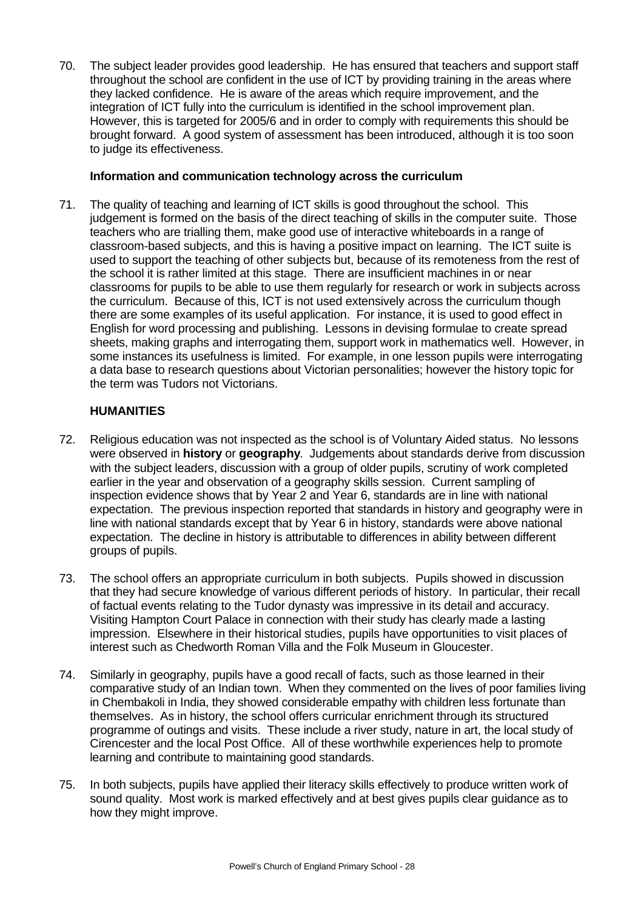70. The subject leader provides good leadership. He has ensured that teachers and support staff throughout the school are confident in the use of ICT by providing training in the areas where they lacked confidence. He is aware of the areas which require improvement, and the integration of ICT fully into the curriculum is identified in the school improvement plan. However, this is targeted for 2005/6 and in order to comply with requirements this should be brought forward. A good system of assessment has been introduced, although it is too soon to judge its effectiveness.

### **Information and communication technology across the curriculum**

71. The quality of teaching and learning of ICT skills is good throughout the school. This judgement is formed on the basis of the direct teaching of skills in the computer suite. Those teachers who are trialling them, make good use of interactive whiteboards in a range of classroom-based subjects, and this is having a positive impact on learning. The ICT suite is used to support the teaching of other subjects but, because of its remoteness from the rest of the school it is rather limited at this stage. There are insufficient machines in or near classrooms for pupils to be able to use them regularly for research or work in subjects across the curriculum. Because of this, ICT is not used extensively across the curriculum though there are some examples of its useful application. For instance, it is used to good effect in English for word processing and publishing. Lessons in devising formulae to create spread sheets, making graphs and interrogating them, support work in mathematics well. However, in some instances its usefulness is limited. For example, in one lesson pupils were interrogating a data base to research questions about Victorian personalities; however the history topic for the term was Tudors not Victorians.

# **HUMANITIES**

- 72. Religious education was not inspected as the school is of Voluntary Aided status. No lessons were observed in **history** or **geography**. Judgements about standards derive from discussion with the subject leaders, discussion with a group of older pupils, scrutiny of work completed earlier in the year and observation of a geography skills session. Current sampling of inspection evidence shows that by Year 2 and Year 6, standards are in line with national expectation. The previous inspection reported that standards in history and geography were in line with national standards except that by Year 6 in history, standards were above national expectation. The decline in history is attributable to differences in ability between different groups of pupils.
- 73. The school offers an appropriate curriculum in both subjects. Pupils showed in discussion that they had secure knowledge of various different periods of history. In particular, their recall of factual events relating to the Tudor dynasty was impressive in its detail and accuracy. Visiting Hampton Court Palace in connection with their study has clearly made a lasting impression. Elsewhere in their historical studies, pupils have opportunities to visit places of interest such as Chedworth Roman Villa and the Folk Museum in Gloucester.
- 74. Similarly in geography, pupils have a good recall of facts, such as those learned in their comparative study of an Indian town. When they commented on the lives of poor families living in Chembakoli in India, they showed considerable empathy with children less fortunate than themselves. As in history, the school offers curricular enrichment through its structured programme of outings and visits. These include a river study, nature in art, the local study of Cirencester and the local Post Office. All of these worthwhile experiences help to promote learning and contribute to maintaining good standards.
- 75. In both subjects, pupils have applied their literacy skills effectively to produce written work of sound quality. Most work is marked effectively and at best gives pupils clear guidance as to how they might improve.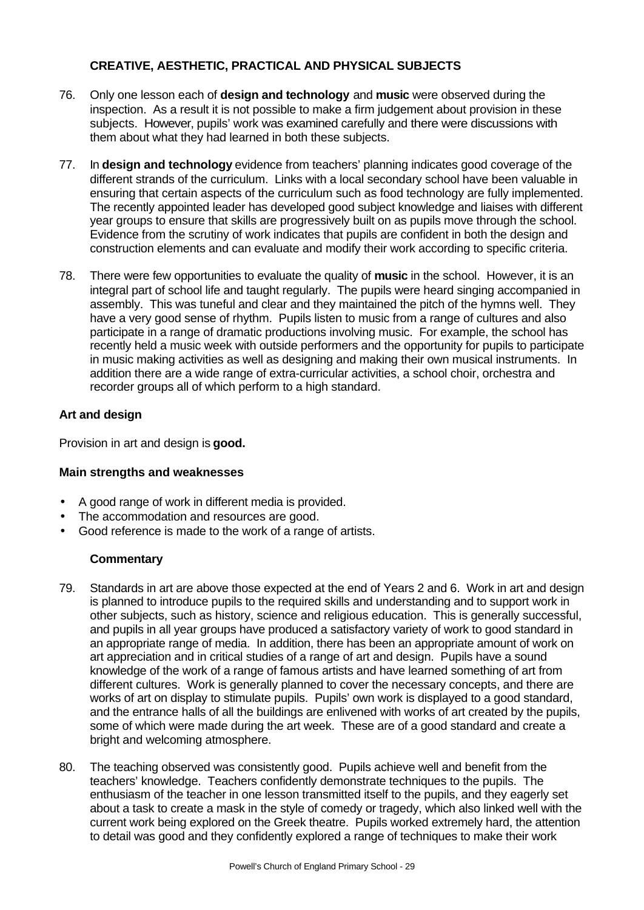# **CREATIVE, AESTHETIC, PRACTICAL AND PHYSICAL SUBJECTS**

- 76. Only one lesson each of **design and technology** and **music** were observed during the inspection. As a result it is not possible to make a firm judgement about provision in these subjects. However, pupils' work was examined carefully and there were discussions with them about what they had learned in both these subjects.
- 77. In **design and technology** evidence from teachers' planning indicates good coverage of the different strands of the curriculum. Links with a local secondary school have been valuable in ensuring that certain aspects of the curriculum such as food technology are fully implemented. The recently appointed leader has developed good subject knowledge and liaises with different year groups to ensure that skills are progressively built on as pupils move through the school. Evidence from the scrutiny of work indicates that pupils are confident in both the design and construction elements and can evaluate and modify their work according to specific criteria.
- 78. There were few opportunities to evaluate the quality of **music** in the school. However, it is an integral part of school life and taught regularly. The pupils were heard singing accompanied in assembly. This was tuneful and clear and they maintained the pitch of the hymns well. They have a very good sense of rhythm. Pupils listen to music from a range of cultures and also participate in a range of dramatic productions involving music. For example, the school has recently held a music week with outside performers and the opportunity for pupils to participate in music making activities as well as designing and making their own musical instruments. In addition there are a wide range of extra-curricular activities, a school choir, orchestra and recorder groups all of which perform to a high standard.

# **Art and design**

Provision in art and design is **good.**

## **Main strengths and weaknesses**

- A good range of work in different media is provided.
- The accommodation and resources are good.
- Good reference is made to the work of a range of artists.

- 79. Standards in art are above those expected at the end of Years 2 and 6. Work in art and design is planned to introduce pupils to the required skills and understanding and to support work in other subjects, such as history, science and religious education. This is generally successful, and pupils in all year groups have produced a satisfactory variety of work to good standard in an appropriate range of media. In addition, there has been an appropriate amount of work on art appreciation and in critical studies of a range of art and design. Pupils have a sound knowledge of the work of a range of famous artists and have learned something of art from different cultures. Work is generally planned to cover the necessary concepts, and there are works of art on display to stimulate pupils. Pupils' own work is displayed to a good standard, and the entrance halls of all the buildings are enlivened with works of art created by the pupils, some of which were made during the art week. These are of a good standard and create a bright and welcoming atmosphere.
- 80. The teaching observed was consistently good. Pupils achieve well and benefit from the teachers' knowledge. Teachers confidently demonstrate techniques to the pupils. The enthusiasm of the teacher in one lesson transmitted itself to the pupils, and they eagerly set about a task to create a mask in the style of comedy or tragedy, which also linked well with the current work being explored on the Greek theatre. Pupils worked extremely hard, the attention to detail was good and they confidently explored a range of techniques to make their work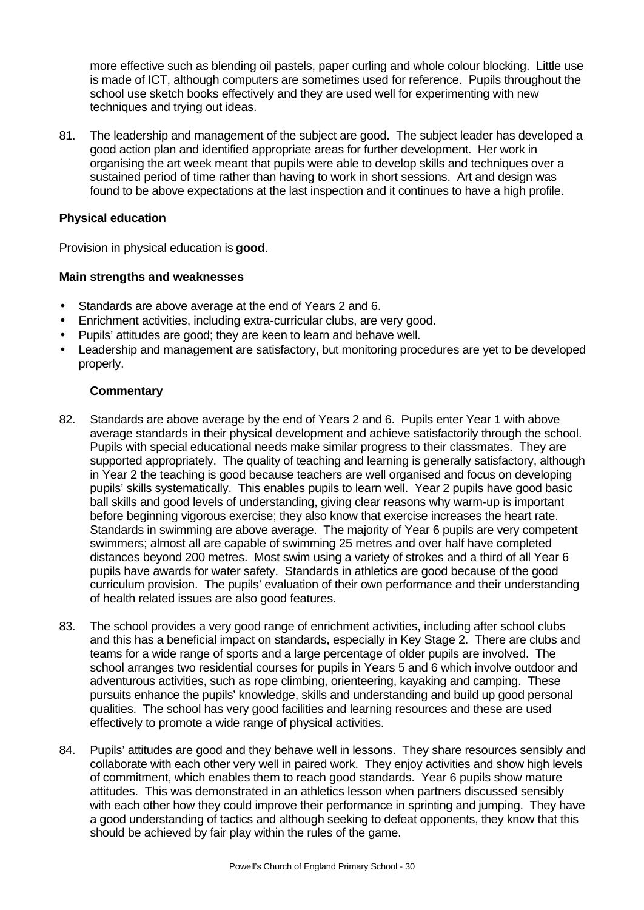more effective such as blending oil pastels, paper curling and whole colour blocking. Little use is made of ICT, although computers are sometimes used for reference. Pupils throughout the school use sketch books effectively and they are used well for experimenting with new techniques and trying out ideas.

81. The leadership and management of the subject are good. The subject leader has developed a good action plan and identified appropriate areas for further development. Her work in organising the art week meant that pupils were able to develop skills and techniques over a sustained period of time rather than having to work in short sessions. Art and design was found to be above expectations at the last inspection and it continues to have a high profile.

## **Physical education**

Provision in physical education is **good**.

#### **Main strengths and weaknesses**

- Standards are above average at the end of Years 2 and 6.
- Enrichment activities, including extra-curricular clubs, are very good.
- Pupils' attitudes are good; they are keen to learn and behave well.
- Leadership and management are satisfactory, but monitoring procedures are yet to be developed properly.

- 82. Standards are above average by the end of Years 2 and 6. Pupils enter Year 1 with above average standards in their physical development and achieve satisfactorily through the school. Pupils with special educational needs make similar progress to their classmates. They are supported appropriately. The quality of teaching and learning is generally satisfactory, although in Year 2 the teaching is good because teachers are well organised and focus on developing pupils' skills systematically. This enables pupils to learn well. Year 2 pupils have good basic ball skills and good levels of understanding, giving clear reasons why warm-up is important before beginning vigorous exercise; they also know that exercise increases the heart rate. Standards in swimming are above average. The majority of Year 6 pupils are very competent swimmers; almost all are capable of swimming 25 metres and over half have completed distances beyond 200 metres. Most swim using a variety of strokes and a third of all Year 6 pupils have awards for water safety. Standards in athletics are good because of the good curriculum provision. The pupils' evaluation of their own performance and their understanding of health related issues are also good features.
- 83. The school provides a very good range of enrichment activities, including after school clubs and this has a beneficial impact on standards, especially in Key Stage 2. There are clubs and teams for a wide range of sports and a large percentage of older pupils are involved. The school arranges two residential courses for pupils in Years 5 and 6 which involve outdoor and adventurous activities, such as rope climbing, orienteering, kayaking and camping. These pursuits enhance the pupils' knowledge, skills and understanding and build up good personal qualities. The school has very good facilities and learning resources and these are used effectively to promote a wide range of physical activities.
- 84. Pupils' attitudes are good and they behave well in lessons. They share resources sensibly and collaborate with each other very well in paired work. They enjoy activities and show high levels of commitment, which enables them to reach good standards. Year 6 pupils show mature attitudes. This was demonstrated in an athletics lesson when partners discussed sensibly with each other how they could improve their performance in sprinting and jumping. They have a good understanding of tactics and although seeking to defeat opponents, they know that this should be achieved by fair play within the rules of the game.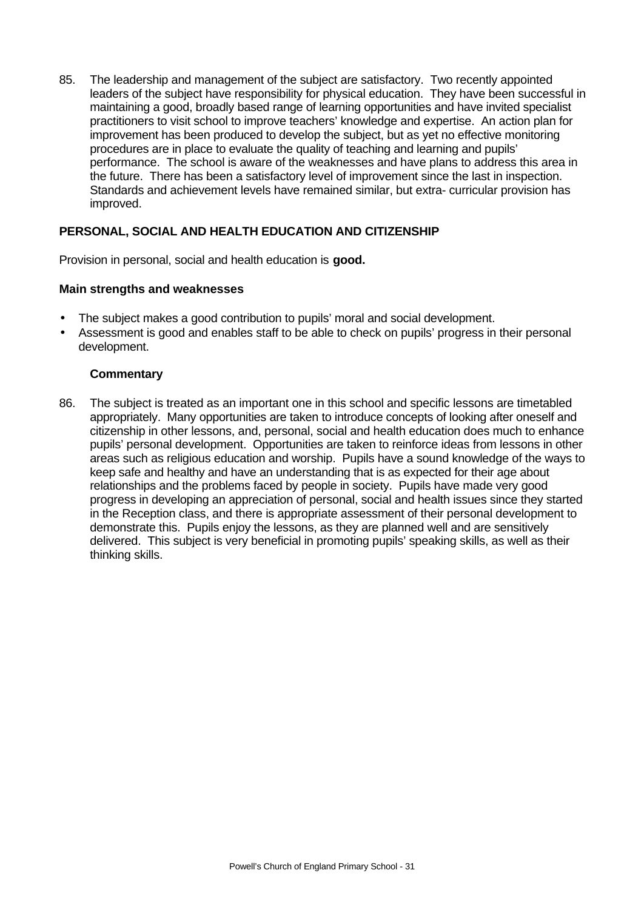85. The leadership and management of the subject are satisfactory. Two recently appointed leaders of the subject have responsibility for physical education. They have been successful in maintaining a good, broadly based range of learning opportunities and have invited specialist practitioners to visit school to improve teachers' knowledge and expertise. An action plan for improvement has been produced to develop the subject, but as yet no effective monitoring procedures are in place to evaluate the quality of teaching and learning and pupils' performance. The school is aware of the weaknesses and have plans to address this area in the future. There has been a satisfactory level of improvement since the last in inspection. Standards and achievement levels have remained similar, but extra- curricular provision has improved.

# **PERSONAL, SOCIAL AND HEALTH EDUCATION AND CITIZENSHIP**

Provision in personal, social and health education is **good.**

#### **Main strengths and weaknesses**

- The subject makes a good contribution to pupils' moral and social development.
- Assessment is good and enables staff to be able to check on pupils' progress in their personal development.

#### **Commentary**

86. The subject is treated as an important one in this school and specific lessons are timetabled appropriately. Many opportunities are taken to introduce concepts of looking after oneself and citizenship in other lessons, and, personal, social and health education does much to enhance pupils' personal development. Opportunities are taken to reinforce ideas from lessons in other areas such as religious education and worship. Pupils have a sound knowledge of the ways to keep safe and healthy and have an understanding that is as expected for their age about relationships and the problems faced by people in society. Pupils have made very good progress in developing an appreciation of personal, social and health issues since they started in the Reception class, and there is appropriate assessment of their personal development to demonstrate this. Pupils enjoy the lessons, as they are planned well and are sensitively delivered. This subject is very beneficial in promoting pupils' speaking skills, as well as their thinking skills.